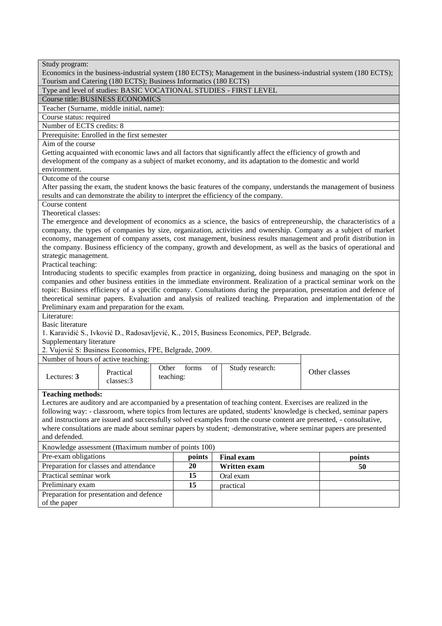| Study program:<br>Economics in the business-industrial system (180 ECTS); Management in the business-industrial system (180 ECTS);         |                    |       |                       |  |               |
|--------------------------------------------------------------------------------------------------------------------------------------------|--------------------|-------|-----------------------|--|---------------|
| Tourism and Catering (180 ECTS); Business Informatics (180 ECTS)                                                                           |                    |       |                       |  |               |
| Type and level of studies: BASIC VOCATIONAL STUDIES - FIRST LEVEL                                                                          |                    |       |                       |  |               |
| <b>Course title: BUSINESS ECONOMICS</b>                                                                                                    |                    |       |                       |  |               |
| Teacher (Surname, middle initial, name):                                                                                                   |                    |       |                       |  |               |
| Course status: required<br>Number of ECTS credits: 8                                                                                       |                    |       |                       |  |               |
| Prerequisite: Enrolled in the first semester                                                                                               |                    |       |                       |  |               |
| Aim of the course                                                                                                                          |                    |       |                       |  |               |
| Getting acquainted with economic laws and all factors that significantly affect the efficiency of growth and                               |                    |       |                       |  |               |
| development of the company as a subject of market economy, and its adaptation to the domestic and world                                    |                    |       |                       |  |               |
| environment.                                                                                                                               |                    |       |                       |  |               |
| Outcome of the course                                                                                                                      |                    |       |                       |  |               |
| After passing the exam, the student knows the basic features of the company, understands the management of business                        |                    |       |                       |  |               |
| results and can demonstrate the ability to interpret the efficiency of the company.                                                        |                    |       |                       |  |               |
| Course content                                                                                                                             |                    |       |                       |  |               |
| Theoretical classes:                                                                                                                       |                    |       |                       |  |               |
| The emergence and development of economics as a science, the basics of entrepreneurship, the characteristics of a                          |                    |       |                       |  |               |
| company, the types of companies by size, organization, activities and ownership. Company as a subject of market                            |                    |       |                       |  |               |
| economy, management of company assets, cost management, business results management and profit distribution in                             |                    |       |                       |  |               |
| the company. Business efficiency of the company, growth and development, as well as the basics of operational and<br>strategic management. |                    |       |                       |  |               |
| Practical teaching:                                                                                                                        |                    |       |                       |  |               |
| Introducing students to specific examples from practice in organizing, doing business and managing on the spot in                          |                    |       |                       |  |               |
| companies and other business entities in the immediate environment. Realization of a practical seminar work on the                         |                    |       |                       |  |               |
| topic: Business efficiency of a specific company. Consultations during the preparation, presentation and defence of                        |                    |       |                       |  |               |
| theoretical seminar papers. Evaluation and analysis of realized teaching. Preparation and implementation of the                            |                    |       |                       |  |               |
| Preliminary exam and preparation for the exam.                                                                                             |                    |       |                       |  |               |
| Literature:                                                                                                                                |                    |       |                       |  |               |
| <b>Basic literature</b>                                                                                                                    |                    |       |                       |  |               |
| 1. Karavidić S., Ivković D., Radosavljević, K., 2015, Business Economics, PEP, Belgrade.                                                   |                    |       |                       |  |               |
| Supplementary literature                                                                                                                   |                    |       |                       |  |               |
| 2. Vujović S: Business Economics, FPE, Belgrade, 2009.                                                                                     |                    |       |                       |  |               |
| Number of hours of active teaching:                                                                                                        |                    |       |                       |  |               |
| Practical<br>Lectures: 3                                                                                                                   | Other<br>teaching: | forms | of<br>Study research: |  | Other classes |
| classes:3                                                                                                                                  |                    |       |                       |  |               |
| <b>Teaching methods:</b>                                                                                                                   |                    |       |                       |  |               |
| Lectures are auditory and are accompanied by a presentation of teaching content. Exercises are realized in the                             |                    |       |                       |  |               |
| following way: - classroom, where topics from lectures are updated, students' knowledge is checked, seminar papers                         |                    |       |                       |  |               |
| and instructions are issued and successfully solved examples from the course content are presented, - consultative,                        |                    |       |                       |  |               |
| where consultations are made about seminar papers by student; -demonstrative, where seminar papers are presented                           |                    |       |                       |  |               |
| and defended.                                                                                                                              |                    |       |                       |  |               |
| Knowledge assessment (maximum number of points 100)                                                                                        |                    |       |                       |  |               |
| Pre-exam obligations<br>points<br><b>Final exam</b><br>points                                                                              |                    |       |                       |  |               |
| Preparation for classes and attendance<br>20<br>50<br>Written exam                                                                         |                    |       |                       |  |               |
| Practical seminar work                                                                                                                     | 15<br>Oral exam    |       |                       |  |               |
| Preliminary exam                                                                                                                           |                    | 15    | practical             |  |               |
| Preparation for presentation and defence                                                                                                   |                    |       |                       |  |               |
| of the paper                                                                                                                               |                    |       |                       |  |               |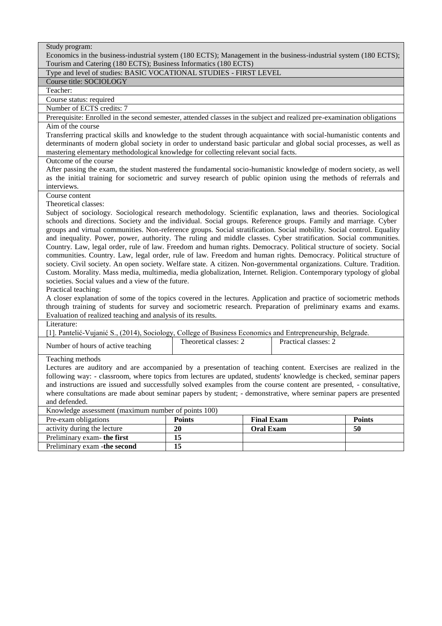| Study program:                                                                                                                                                                                                                                                                                                                                                                                                                                                                                                                                                                                                                                                                                                                                                                                                                                                                                                                                                                                                                                                                                                                                                                                                                                                                                                                                                                                                                                                                                                                                                            |               |                   |               |  |  |
|---------------------------------------------------------------------------------------------------------------------------------------------------------------------------------------------------------------------------------------------------------------------------------------------------------------------------------------------------------------------------------------------------------------------------------------------------------------------------------------------------------------------------------------------------------------------------------------------------------------------------------------------------------------------------------------------------------------------------------------------------------------------------------------------------------------------------------------------------------------------------------------------------------------------------------------------------------------------------------------------------------------------------------------------------------------------------------------------------------------------------------------------------------------------------------------------------------------------------------------------------------------------------------------------------------------------------------------------------------------------------------------------------------------------------------------------------------------------------------------------------------------------------------------------------------------------------|---------------|-------------------|---------------|--|--|
| Economics in the business-industrial system (180 ECTS); Management in the business-industrial system (180 ECTS);                                                                                                                                                                                                                                                                                                                                                                                                                                                                                                                                                                                                                                                                                                                                                                                                                                                                                                                                                                                                                                                                                                                                                                                                                                                                                                                                                                                                                                                          |               |                   |               |  |  |
| Tourism and Catering (180 ECTS); Business Informatics (180 ECTS)                                                                                                                                                                                                                                                                                                                                                                                                                                                                                                                                                                                                                                                                                                                                                                                                                                                                                                                                                                                                                                                                                                                                                                                                                                                                                                                                                                                                                                                                                                          |               |                   |               |  |  |
| Type and level of studies: BASIC VOCATIONAL STUDIES - FIRST LEVEL<br>Course title: SOCIOLOGY                                                                                                                                                                                                                                                                                                                                                                                                                                                                                                                                                                                                                                                                                                                                                                                                                                                                                                                                                                                                                                                                                                                                                                                                                                                                                                                                                                                                                                                                              |               |                   |               |  |  |
| Teacher:                                                                                                                                                                                                                                                                                                                                                                                                                                                                                                                                                                                                                                                                                                                                                                                                                                                                                                                                                                                                                                                                                                                                                                                                                                                                                                                                                                                                                                                                                                                                                                  |               |                   |               |  |  |
| Course status: required                                                                                                                                                                                                                                                                                                                                                                                                                                                                                                                                                                                                                                                                                                                                                                                                                                                                                                                                                                                                                                                                                                                                                                                                                                                                                                                                                                                                                                                                                                                                                   |               |                   |               |  |  |
| Number of ECTS credits: 7                                                                                                                                                                                                                                                                                                                                                                                                                                                                                                                                                                                                                                                                                                                                                                                                                                                                                                                                                                                                                                                                                                                                                                                                                                                                                                                                                                                                                                                                                                                                                 |               |                   |               |  |  |
| Prerequisite: Enrolled in the second semester, attended classes in the subject and realized pre-examination obligations                                                                                                                                                                                                                                                                                                                                                                                                                                                                                                                                                                                                                                                                                                                                                                                                                                                                                                                                                                                                                                                                                                                                                                                                                                                                                                                                                                                                                                                   |               |                   |               |  |  |
| Aim of the course                                                                                                                                                                                                                                                                                                                                                                                                                                                                                                                                                                                                                                                                                                                                                                                                                                                                                                                                                                                                                                                                                                                                                                                                                                                                                                                                                                                                                                                                                                                                                         |               |                   |               |  |  |
| Transferring practical skills and knowledge to the student through acquaintance with social-humanistic contents and<br>determinants of modern global society in order to understand basic particular and global social processes, as well as<br>mastering elementary methodological knowledge for collecting relevant social facts.                                                                                                                                                                                                                                                                                                                                                                                                                                                                                                                                                                                                                                                                                                                                                                                                                                                                                                                                                                                                                                                                                                                                                                                                                                       |               |                   |               |  |  |
| Outcome of the course                                                                                                                                                                                                                                                                                                                                                                                                                                                                                                                                                                                                                                                                                                                                                                                                                                                                                                                                                                                                                                                                                                                                                                                                                                                                                                                                                                                                                                                                                                                                                     |               |                   |               |  |  |
| After passing the exam, the student mastered the fundamental socio-humanistic knowledge of modern society, as well<br>as the initial training for sociometric and survey research of public opinion using the methods of referrals and<br>interviews.                                                                                                                                                                                                                                                                                                                                                                                                                                                                                                                                                                                                                                                                                                                                                                                                                                                                                                                                                                                                                                                                                                                                                                                                                                                                                                                     |               |                   |               |  |  |
| Course content                                                                                                                                                                                                                                                                                                                                                                                                                                                                                                                                                                                                                                                                                                                                                                                                                                                                                                                                                                                                                                                                                                                                                                                                                                                                                                                                                                                                                                                                                                                                                            |               |                   |               |  |  |
|                                                                                                                                                                                                                                                                                                                                                                                                                                                                                                                                                                                                                                                                                                                                                                                                                                                                                                                                                                                                                                                                                                                                                                                                                                                                                                                                                                                                                                                                                                                                                                           |               |                   |               |  |  |
| Theoretical classes:<br>Subject of sociology. Sociological research methodology. Scientific explanation, laws and theories. Sociological<br>schools and directions. Society and the individual. Social groups. Reference groups. Family and marriage. Cyber<br>groups and virtual communities. Non-reference groups. Social stratification. Social mobility. Social control. Equality<br>and inequality. Power, power, authority. The ruling and middle classes. Cyber stratification. Social communities.<br>Country. Law, legal order, rule of law. Freedom and human rights. Democracy. Political structure of society. Social<br>communities. Country. Law, legal order, rule of law. Freedom and human rights. Democracy. Political structure of<br>society. Civil society. An open society. Welfare state. A citizen. Non-governmental organizations. Culture. Tradition.<br>Custom. Morality. Mass media, multimedia, media globalization, Internet. Religion. Contemporary typology of global<br>societies. Social values and a view of the future.<br>Practical teaching:<br>A closer explanation of some of the topics covered in the lectures. Application and practice of sociometric methods<br>through training of students for survey and sociometric research. Preparation of preliminary exams and exams.<br>Evaluation of realized teaching and analysis of its results.<br>Literature:<br>[1]. Pantelić-Vujanić S., (2014), Sociology, College of Business Economics and Entrepreneurship, Belgrade.<br>Theoretical classes: 2<br>Practical classes: 2 |               |                   |               |  |  |
| Number of hours of active teaching                                                                                                                                                                                                                                                                                                                                                                                                                                                                                                                                                                                                                                                                                                                                                                                                                                                                                                                                                                                                                                                                                                                                                                                                                                                                                                                                                                                                                                                                                                                                        |               |                   |               |  |  |
| Teaching methods<br>Lectures are auditory and are accompanied by a presentation of teaching content. Exercises are realized in the<br>following way: - classroom, where topics from lectures are updated, students' knowledge is checked, seminar papers<br>and instructions are issued and successfully solved examples from the course content are presented, - consultative,<br>where consultations are made about seminar papers by student; - demonstrative, where seminar papers are presented<br>and defended.<br>Knowledge assessment (maximum number of points 100)                                                                                                                                                                                                                                                                                                                                                                                                                                                                                                                                                                                                                                                                                                                                                                                                                                                                                                                                                                                              |               |                   |               |  |  |
| Pre-exam obligations                                                                                                                                                                                                                                                                                                                                                                                                                                                                                                                                                                                                                                                                                                                                                                                                                                                                                                                                                                                                                                                                                                                                                                                                                                                                                                                                                                                                                                                                                                                                                      | <b>Points</b> | <b>Final Exam</b> | <b>Points</b> |  |  |
| activity during the lecture                                                                                                                                                                                                                                                                                                                                                                                                                                                                                                                                                                                                                                                                                                                                                                                                                                                                                                                                                                                                                                                                                                                                                                                                                                                                                                                                                                                                                                                                                                                                               | 20            | <b>Oral Exam</b>  | 50            |  |  |
| Preliminary exam-the first                                                                                                                                                                                                                                                                                                                                                                                                                                                                                                                                                                                                                                                                                                                                                                                                                                                                                                                                                                                                                                                                                                                                                                                                                                                                                                                                                                                                                                                                                                                                                | 15            |                   |               |  |  |
| Preliminary exam - the second                                                                                                                                                                                                                                                                                                                                                                                                                                                                                                                                                                                                                                                                                                                                                                                                                                                                                                                                                                                                                                                                                                                                                                                                                                                                                                                                                                                                                                                                                                                                             | 15            |                   |               |  |  |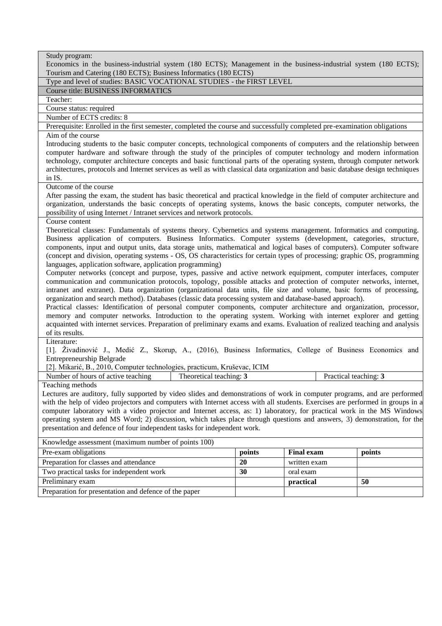| Study program:                                                                                                                                                                                                                            |        |                       |        |  |
|-------------------------------------------------------------------------------------------------------------------------------------------------------------------------------------------------------------------------------------------|--------|-----------------------|--------|--|
| Economics in the business-industrial system (180 ECTS); Management in the business-industrial system (180 ECTS);<br>Tourism and Catering (180 ECTS); Business Informatics (180 ECTS)                                                      |        |                       |        |  |
| Type and level of studies: BASIC VOCATIONAL STUDIES - the FIRST LEVEL                                                                                                                                                                     |        |                       |        |  |
| <b>Course title: BUSINESS INFORMATICS</b>                                                                                                                                                                                                 |        |                       |        |  |
| Teacher:                                                                                                                                                                                                                                  |        |                       |        |  |
| Course status: required                                                                                                                                                                                                                   |        |                       |        |  |
| Number of ECTS credits: 8                                                                                                                                                                                                                 |        |                       |        |  |
| Prerequisite: Enrolled in the first semester, completed the course and successfully completed pre-examination obligations                                                                                                                 |        |                       |        |  |
| Aim of the course                                                                                                                                                                                                                         |        |                       |        |  |
| Introducing students to the basic computer concepts, technological components of computers and the relationship between                                                                                                                   |        |                       |        |  |
| computer hardware and software through the study of the principles of computer technology and modern information                                                                                                                          |        |                       |        |  |
| technology, computer architecture concepts and basic functional parts of the operating system, through computer network                                                                                                                   |        |                       |        |  |
| architectures, protocols and Internet services as well as with classical data organization and basic database design techniques                                                                                                           |        |                       |        |  |
| in IS.                                                                                                                                                                                                                                    |        |                       |        |  |
| Outcome of the course                                                                                                                                                                                                                     |        |                       |        |  |
| After passing the exam, the student has basic theoretical and practical knowledge in the field of computer architecture and                                                                                                               |        |                       |        |  |
| organization, understands the basic concepts of operating systems, knows the basic concepts, computer networks, the                                                                                                                       |        |                       |        |  |
| possibility of using Internet / Intranet services and network protocols.                                                                                                                                                                  |        |                       |        |  |
| Course content                                                                                                                                                                                                                            |        |                       |        |  |
| Theoretical classes: Fundamentals of systems theory. Cybernetics and systems management. Informatics and computing.                                                                                                                       |        |                       |        |  |
| Business application of computers. Business Informatics. Computer systems (development, categories, structure,<br>components, input and output units, data storage units, mathematical and logical bases of computers). Computer software |        |                       |        |  |
| (concept and division, operating systems - OS, OS characteristics for certain types of processing; graphic OS, programming                                                                                                                |        |                       |        |  |
| languages, application software, application programming)                                                                                                                                                                                 |        |                       |        |  |
| Computer networks (concept and purpose, types, passive and active network equipment, computer interfaces, computer                                                                                                                        |        |                       |        |  |
| communication and communication protocols, topology, possible attacks and protection of computer networks, internet,                                                                                                                      |        |                       |        |  |
| intranet and extranet). Data organization (organizational data units, file size and volume, basic forms of processing,                                                                                                                    |        |                       |        |  |
| organization and search method). Databases (classic data processing system and database-based approach).                                                                                                                                  |        |                       |        |  |
| Practical classes: Identification of personal computer components, computer architecture and organization, processor,                                                                                                                     |        |                       |        |  |
| memory and computer networks. Introduction to the operating system. Working with internet explorer and getting                                                                                                                            |        |                       |        |  |
| acquainted with internet services. Preparation of preliminary exams and exams. Evaluation of realized teaching and analysis                                                                                                               |        |                       |        |  |
| of its results.                                                                                                                                                                                                                           |        |                       |        |  |
| Literature:                                                                                                                                                                                                                               |        |                       |        |  |
| [1]. Živadinović J., Medić Z., Skorup, A., (2016), Business Informatics, College of Business Economics and                                                                                                                                |        |                       |        |  |
| <b>Entrepreneurship Belgrade</b>                                                                                                                                                                                                          |        |                       |        |  |
| [2]. Mikarić, B., 2010, Computer technologies, practicum, Kruševac, ICIM<br>Number of hours of active teaching<br>Theoretical teaching: 3                                                                                                 |        | Practical teaching: 3 |        |  |
| Teaching methods                                                                                                                                                                                                                          |        |                       |        |  |
| Lectures are auditory, fully supported by video slides and demonstrations of work in computer programs, and are performed                                                                                                                 |        |                       |        |  |
| with the help of video projectors and computers with Internet access with all students. Exercises are performed in groups in a                                                                                                            |        |                       |        |  |
| computer laboratory with a video projector and Internet access, as: 1) laboratory, for practical work in the MS Windows                                                                                                                   |        |                       |        |  |
| operating system and MS Word; 2) discussion, which takes place through questions and answers, 3) demonstration, for the                                                                                                                   |        |                       |        |  |
| presentation and defence of four independent tasks for independent work.                                                                                                                                                                  |        |                       |        |  |
| Knowledge assessment (maximum number of points 100)                                                                                                                                                                                       |        |                       |        |  |
| Pre-exam obligations                                                                                                                                                                                                                      | points | <b>Final exam</b>     | points |  |
| Preparation for classes and attendance                                                                                                                                                                                                    | 20     | written exam          |        |  |
| Two practical tasks for independent work                                                                                                                                                                                                  | 30     | oral exam             |        |  |
| Preliminary exam                                                                                                                                                                                                                          |        | practical             | 50     |  |
| Preparation for presentation and defence of the paper                                                                                                                                                                                     |        |                       |        |  |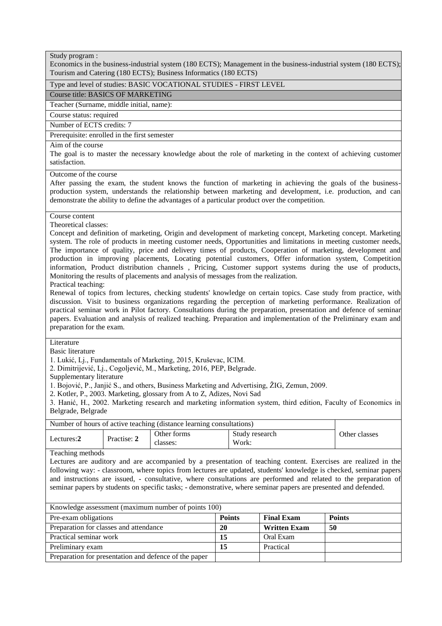|  | Study program : |  |
|--|-----------------|--|
|--|-----------------|--|

Economics in the business-industrial system (180 ECTS); Management in the business-industrial system (180 ECTS); Tourism and Catering (180 ECTS); Business Informatics (180 ECTS)

#### Type and level of studies: BASIC VOCATIONAL STUDIES - FIRST LEVEL

Course title: BASICS OF MARKETING

Teacher (Surname, middle initial, name):

Course status: required

Number of ECTS credits: 7

Prerequisite: enrolled in the first semester

#### Aim of the course

The goal is to master the necessary knowledge about the role of marketing in the context of achieving customer satisfaction.

# Outcome of the course

After passing the exam, the student knows the function of marketing in achieving the goals of the businessproduction system, understands the relationship between marketing and development, i.e. production, and can demonstrate the ability to define the advantages of a particular product over the competition.

Course content

Theoretical classes:

Concept and definition of marketing, Origin and development of marketing concept, Marketing concept. Marketing system. The role of products in meeting customer needs, Opportunities and limitations in meeting customer needs, The importance of quality, price and delivery times of products, Cooperation of marketing, development and production in improving placements, Locating potential customers, Offer information system, Competition information, Product distribution channels , Pricing, Customer support systems during the use of products, Monitoring the results of placements and analysis of messages from the realization.

Practical teaching:

Renewal of topics from lectures, checking students' knowledge on certain topics. Case study from practice, with discussion. Visit to business organizations regarding the perception of marketing performance. Realization of practical seminar work in Pilot factory. Consultations during the preparation, presentation and defence of seminar papers. Evaluation and analysis of realized teaching. Preparation and implementation of the Preliminary exam and preparation for the exam.

# **Literature**

Basic literature

1. Lukić, Lj., Fundamentals of Marketing, 2015, Kruševac, ICIM.

- 2. Dimitrijević, Lj., Cogoljević, M., Marketing, 2016, PEP, Belgrade.
- Supplementary literature

1. Bojović, P., Janjić S., and others, Business Marketing and Advertising, ŽIG, Zemun, 2009.

2. Kotler, P., 2003. Marketing, glossary from A to Z, Adizes, Novi Sad

3. Hanić, H., 2002. Marketing research and marketing information system, third edition, Faculty of Economics in Belgrade, Belgrade

| Number of hours of active teaching (distance learning consultations) |             |                                                    |  |               |
|----------------------------------------------------------------------|-------------|----------------------------------------------------|--|---------------|
| Lectures:2                                                           | Practise: 2 | Other forms<br>Study research<br>Work:<br>classes: |  | Other classes |

Teaching methods

Lectures are auditory and are accompanied by a presentation of teaching content. Exercises are realized in the following way: - classroom, where topics from lectures are updated, students' knowledge is checked, seminar papers and instructions are issued, - consultative, where consultations are performed and related to the preparation of seminar papers by students on specific tasks; - demonstrative, where seminar papers are presented and defended.

| Knowledge assessment (maximum number of points 100)   |               |                     |               |  |  |
|-------------------------------------------------------|---------------|---------------------|---------------|--|--|
| Pre-exam obligations                                  | <b>Points</b> | <b>Final Exam</b>   | <b>Points</b> |  |  |
| Preparation for classes and attendance                | 20            | <b>Written Exam</b> | 50            |  |  |
| Practical seminar work                                | 15            | Oral Exam           |               |  |  |
| Preliminary exam                                      | 15            | Practical           |               |  |  |
| Preparation for presentation and defence of the paper |               |                     |               |  |  |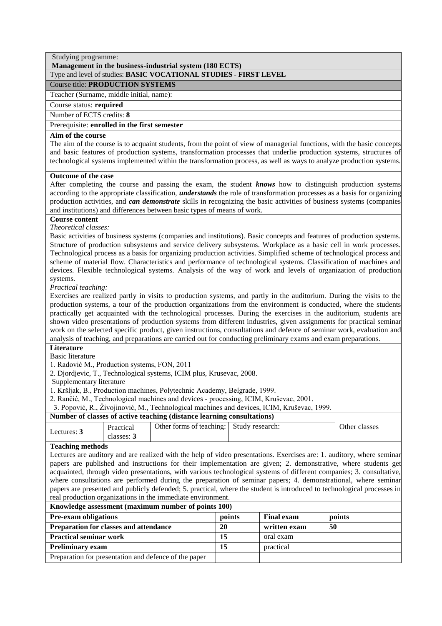#### Studying programme: **Management in the business-industrial system (180 ECTS)**

# Type and level of studies: **BASIC VOCATIONAL STUDIES - FIRST LEVEL**

# Course title: **PRODUCTION SYSTEMS**

Teacher (Surname, middle initial, name):

Course status: **required**

Number of ECTS credits: **8**

Prerequisite: **enrolled in the first semester**

# **Aim of the course**

The aim of the course is to acquaint students, from the point of view of managerial functions, with the basic concepts and basic features of production systems, transformation processes that underlie production systems, structures of technological systems implemented within the transformation process, as well as ways to analyze production systems.

# **Outcome of the case**

After completing the course and passing the exam, the student *knows* how to distinguish production systems according to the appropriate classification, *understands* the role of transformation processes as a basis for organizing production activities, and *can demonstrate* skills in recognizing the basic activities of business systems (companies and institutions) and differences between basic types of means of work.

# **Course content**

*Theoretical classes:*

Basic activities of business systems (companies and institutions). Basic concepts and features of production systems. Structure of production subsystems and service delivery subsystems. Workplace as a basic cell in work processes. Technological process as a basis for organizing production activities. Simplified scheme of technological process and scheme of material flow. Characteristics and performance of technological systems. Classification of machines and devices. Flexible technological systems. Analysis of the way of work and levels of organization of production systems.

*Practical teaching:*

Exercises are realized partly in visits to production systems, and partly in the auditorium. During the visits to the production systems, a tour of the production organizations from the environment is conducted, where the students practically get acquainted with the technological processes. During the exercises in the auditorium, students are shown video presentations of production systems from different industries, given assignments for practical seminar work on the selected specific product, given instructions, consultations and defence of seminar work, evaluation and analysis of teaching, and preparations are carried out for conducting preliminary exams and exam preparations.

# **Literature**

Basic literature

1. Radović M., Production systems, FON, 2011

2. Djordjevic, T., Technological systems, ICIM plus, Krusevac, 2008.

Supplementary literature

1. Kršljak, B., Production machines, Polytechnic Academy, Belgrade, 1999.

2. Rančić, M., Technological machines and devices - processing, ICIM, Kruševac, 2001.

3. Popović, R., Živojinović, M., Technological machines and devices, ICIM, Kruševac, 1999.

# **Number of classes of active teaching (distance learning consultations)**

|             |                       | -                        |                 |               |
|-------------|-----------------------|--------------------------|-----------------|---------------|
| Lectures: 3 | Practical<br>classes: | Other forms of teaching: | Study research: | Other classes |
|             |                       |                          |                 |               |

# **Teaching methods**

Lectures are auditory and are realized with the help of video presentations. Exercises are: 1. auditory, where seminar papers are published and instructions for their implementation are given; 2. demonstrative, where students get acquainted, through video presentations, with various technological systems of different companies; 3. consultative, where consultations are performed during the preparation of seminar papers; 4. demonstrational, where seminar papers are presented and publicly defended; 5. practical, where the student is introduced to technological processes in real production organizations in the immediate environment.

| <u>renowledge</u> assessment (maximum number or points 1997 |        |                   |        |  |  |  |
|-------------------------------------------------------------|--------|-------------------|--------|--|--|--|
| <b>Pre-exam obligations</b>                                 | points | <b>Final exam</b> | points |  |  |  |
| <b>Preparation for classes and attendance</b>               | 20     | written exam      | 50     |  |  |  |
| <b>Practical seminar work</b>                               | 15     | oral exam         |        |  |  |  |
| <b>Preliminary exam</b>                                     | 15     | practical         |        |  |  |  |
| Preparation for presentation and defence of the paper       |        |                   |        |  |  |  |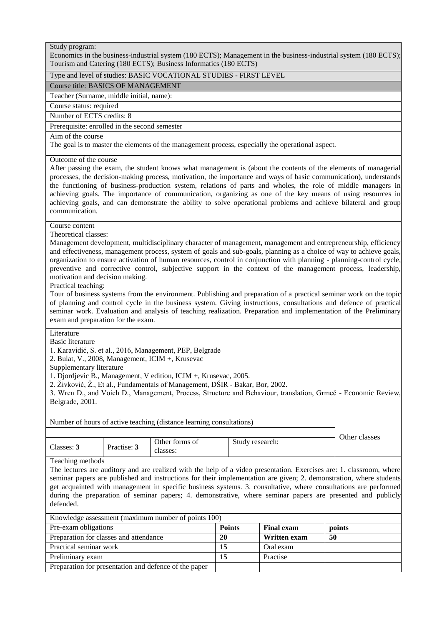Economics in the business-industrial system (180 ECTS); Management in the business-industrial system (180 ECTS); Tourism and Catering (180 ECTS); Business Informatics (180 ECTS)

# Type and level of studies: BASIC VOCATIONAL STUDIES - FIRST LEVEL

Course title: BASICS OF MANAGEMENT

Teacher (Surname, middle initial, name):

Course status: required

Number of ECTS credits: 8

Prerequisite: enrolled in the second semester

#### Aim of the course

The goal is to master the elements of the management process, especially the operational aspect.

# Outcome of the course

After passing the exam, the student knows what management is (about the contents of the elements of managerial processes, the decision-making process, motivation, the importance and ways of basic communication), understands the functioning of business-production system, relations of parts and wholes, the role of middle managers in achieving goals. The importance of communication, organizing as one of the key means of using resources in achieving goals, and can demonstrate the ability to solve operational problems and achieve bilateral and group communication.

# Course content

Theoretical classes:

Management development, multidisciplinary character of management, management and entrepreneurship, efficiency and effectiveness, management process, system of goals and sub-goals, planning as a choice of way to achieve goals, organization to ensure activation of human resources, control in conjunction with planning - planning-control cycle, preventive and corrective control, subjective support in the context of the management process, leadership, motivation and decision making.

Practical teaching:

Tour of business systems from the environment. Publishing and preparation of a practical seminar work on the topic of planning and control cycle in the business system. Giving instructions, consultations and defence of practical seminar work. Evaluation and analysis of teaching realization. Preparation and implementation of the Preliminary exam and preparation for the exam.

# Literature

Basic literature

1. Karavidić, S. et al., 2016, Management, PEP, Belgrade

2. Bulat, V., 2008, Management, ICIM +, Krusevac

Supplementary literature

1. Djordjevic B., Management, V edition, ICIM +, Krusevac, 2005.

2. Živković, Ž., Et al., Fundamentals of Management, DŠIR - Bakar, Bor, 2002.

3. Wren D., and Voich D., Management, Process, Structure and Behaviour, translation, Grmeč - Economic Review, Belgrade, 2001.

| Number of hours of active teaching (distance learning consultations) |               |                            |                 |  |
|----------------------------------------------------------------------|---------------|----------------------------|-----------------|--|
|                                                                      | Other classes |                            |                 |  |
| Classes: 3                                                           | Practise: 3   | Other forms of<br>classes: | Study research: |  |

Teaching methods

The lectures are auditory and are realized with the help of a video presentation. Exercises are: 1. classroom, where seminar papers are published and instructions for their implementation are given; 2. demonstration, where students get acquainted with management in specific business systems. 3. consultative, where consultations are performed during the preparation of seminar papers; 4. demonstrative, where seminar papers are presented and publicly defended.

| Knowledge assessment (maximum number of points 100)   |               |                     |        |  |  |
|-------------------------------------------------------|---------------|---------------------|--------|--|--|
| Pre-exam obligations                                  | <b>Points</b> | <b>Final exam</b>   | points |  |  |
| Preparation for classes and attendance                | 20            | <b>Written exam</b> | -50    |  |  |
| Practical seminar work                                | 15            | Oral exam           |        |  |  |
| Preliminary exam                                      | 15            | Practise            |        |  |  |
| Preparation for presentation and defence of the paper |               |                     |        |  |  |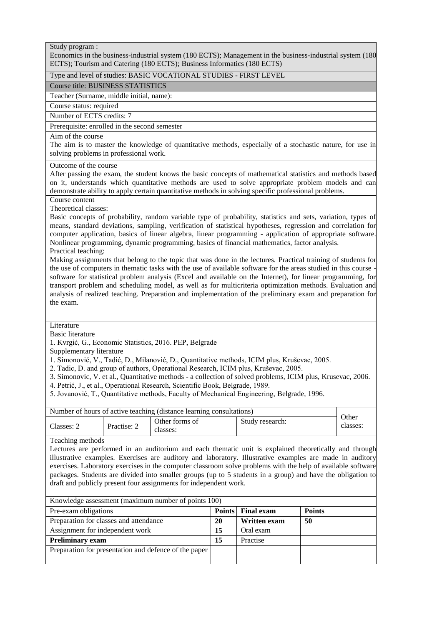Economics in the business-industrial system (180 ECTS); Management in the business-industrial system (180 ECTS); Tourism and Catering (180 ECTS); Business Informatics (180 ECTS)

# Type and level of studies: BASIC VOCATIONAL STUDIES - FIRST LEVEL

# Course title: BUSINESS STATISTICS

Teacher (Surname, middle initial, name):

Course status: required

Number of ECTS credits: 7

Prerequisite: enrolled in the second semester

# Aim of the course

The aim is to master the knowledge of quantitative methods, especially of a stochastic nature, for use in solving problems in professional work.

#### Outcome of the course

After passing the exam, the student knows the basic concepts of mathematical statistics and methods based on it, understands which quantitative methods are used to solve appropriate problem models and can demonstrate ability to apply certain quantitative methods in solving specific professional problems.

Course content

Theoretical classes:

Basic concepts of probability, random variable type of probability, statistics and sets, variation, types of means, standard deviations, sampling, verification of statistical hypotheses, regression and correlation for computer application, basics of linear algebra, linear programming - application of appropriate software. Nonlinear programming, dynamic programming, basics of financial mathematics, factor analysis. Practical teaching:

Making assignments that belong to the topic that was done in the lectures. Practical training of students for the use of computers in thematic tasks with the use of available software for the areas studied in this course software for statistical problem analysis (Excel and available on the Internet), for linear programming, for transport problem and scheduling model, as well as for multicriteria optimization methods. Evaluation and analysis of realized teaching. Preparation and implementation of the preliminary exam and preparation for the exam.

# Literature

Basic literature

1. Kvrgić, G., Economic Statistics, 2016. PEP, Belgrade

Supplementary literature

1. Simonović, V., Tadić, D., Milanović, D., Quantitative methods, ICIM plus, Kruševac, 2005.

2. Tadic, D. and group of authors, Operational Research, ICIM plus, Kruševac, 2005.

3. Simonovic, V. et al., Quantitative methods - a collection of solved problems, ICIM plus, Krusevac, 2006.

4. Petrić, J., et al., Operational Research, Scientific Book, Belgrade, 1989.

5. Jovanović, T., Quantitative methods, Faculty of Mechanical Engineering, Belgrade, 1996.

| Number of hours of active teaching (distance learning consultations) |             |                            |                 |                   |
|----------------------------------------------------------------------|-------------|----------------------------|-----------------|-------------------|
| Classes: 2                                                           | Practise: 2 | Other forms of<br>classes: | Study research: | Other<br>classes: |
|                                                                      |             |                            |                 |                   |

Teaching methods

Lectures are performed in an auditorium and each thematic unit is explained theoretically and through illustrative examples. Exercises are auditory and laboratory. Illustrative examples are made in auditory exercises. Laboratory exercises in the computer classroom solve problems with the help of available software packages. Students are divided into smaller groups (up to 5 students in a group) and have the obligation to draft and publicly present four assignments for independent work.

| Knowledge assessment (maximum number of points 100)   |    |                          |               |  |  |  |
|-------------------------------------------------------|----|--------------------------|---------------|--|--|--|
| Pre-exam obligations                                  |    | <b>Points</b> Final exam | <b>Points</b> |  |  |  |
| Preparation for classes and attendance                | 20 | Written exam             | 50            |  |  |  |
| Assignment for independent work                       | 15 | Oral exam                |               |  |  |  |
| <b>Preliminary exam</b>                               | 15 | Practise                 |               |  |  |  |
| Preparation for presentation and defence of the paper |    |                          |               |  |  |  |
|                                                       |    |                          |               |  |  |  |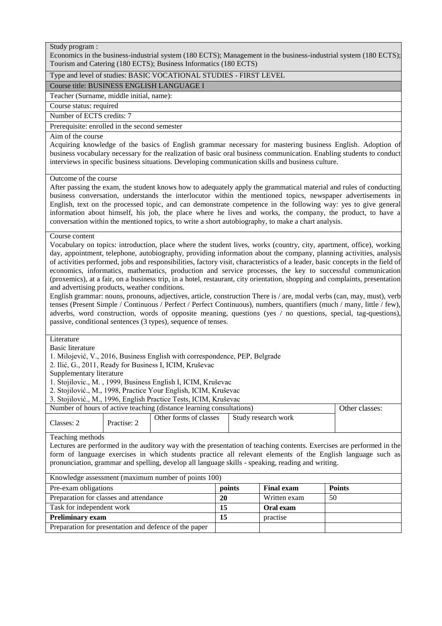Economics in the business-industrial system (180 ECTS); Management in the business-industrial system (180 ECTS); Tourism and Catering (180 ECTS); Business Informatics (180 ECTS)

# Type and level of studies: BASIC VOCATIONAL STUDIES - FIRST LEVEL

Course title: BUSINESS ENGLISH LANGUAGE I

Teacher (Surname, middle initial, name):

Course status: required

Number of ECTS credits: 7

Prerequisite: enrolled in the second semester

# Aim of the course

Acquiring knowledge of the basics of English grammar necessary for mastering business English. Adoption of business vocabulary necessary for the realization of basic oral business communication. Enabling students to conduct interviews in specific business situations. Developing communication skills and business culture.

#### Outcome of the course

After passing the exam, the student knows how to adequately apply the grammatical material and rules of conducting business conversation, understands the interlocutor within the mentioned topics, newspaper advertisements in English, text on the processed topic, and can demonstrate competence in the following way: yes to give general information about himself, his job, the place where he lives and works, the company, the product, to have a conversation within the mentioned topics, to write a short autobiography, to make a chart analysis.

#### Course content

Vocabulary on topics: introduction, place where the student lives, works (country, city, apartment, office), working day, appointment, telephone, autobiography, providing information about the company, planning activities, analysis of activities performed, jobs and responsibilities, factory visit, characteristics of a leader, basic concepts in the field of economics, informatics, mathematics, production and service processes, the key to successful communication (proxemics), at a fair, on a business trip, in a hotel, restaurant, city orientation, shopping and complaints, presentation and advertising products, weather conditions.

English grammar: nouns, pronouns, adjectives, article, construction There is / are, modal verbs (can, may, must), verb tenses (Present Simple / Continuous / Perfect / Perfect Continuous), numbers, quantifiers (much / many, little / few), adverbs, word construction, words of opposite meaning, questions (yes / no questions, special, tag-questions), passive, conditional sentences (3 types), sequence of tenses.

# Literature

Basic literature

1. Milojević, V., 2016, Business English with correspondence, PEP, Belgrade

2. Ilić, G., 2011, Ready for Business I, ICIM, Kruševac

Supplementary literature

1. Stojilovic., M. , 1999, Business English I, ICIM, Kruševac

2. Stojilović., M., 1998, Practice Your English, ICIM, Kruševac

3. Stojilović., M., 1996, English Practice Tests, ICIM, Kruševac

Number of hours of active teaching (distance learning consultations) **Other classes:** 

| )ther<br>Study research work<br>torms:<br>s of classes<br>$\sim$<br>Practise:<br>lasses: |
|------------------------------------------------------------------------------------------|
|------------------------------------------------------------------------------------------|

# Teaching methods

Lectures are performed in the auditory way with the presentation of teaching contents. Exercises are performed in the form of language exercises in which students practice all relevant elements of the English language such as pronunciation, grammar and spelling, develop all language skills - speaking, reading and writing.

| Knowledge assessment (maximum number of points 100)   |        |                   |               |  |  |
|-------------------------------------------------------|--------|-------------------|---------------|--|--|
| Pre-exam obligations                                  | points | <b>Final exam</b> | <b>Points</b> |  |  |
| Preparation for classes and attendance                | 20     | Written exam      | 50            |  |  |
| Task for independent work                             | 15     | Oral exam         |               |  |  |
| <b>Preliminary exam</b>                               | 15     | practise          |               |  |  |
| Preparation for presentation and defence of the paper |        |                   |               |  |  |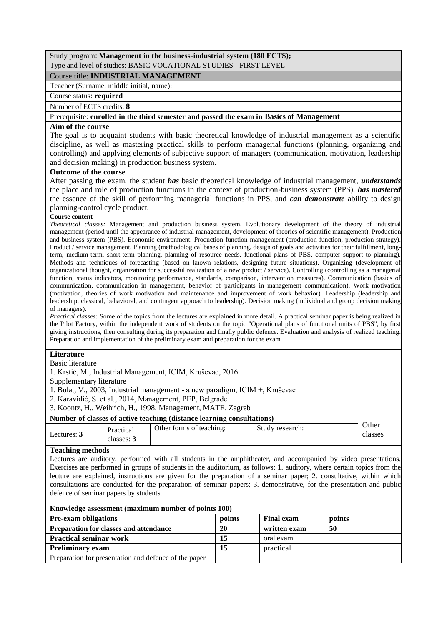# Study program: **Management in the business-industrial system (180 ECTS);**

Type and level of studies: BASIC VOCATIONAL STUDIES - FIRST LEVEL

Course title: **INDUSTRIAL MANAGEMENT**

Teacher (Surname, middle initial, name):

# Course status: **required**

Number of ECTS credits: **8**

# Prerequisite: **enrolled in the third semester and passed the exam in Basics of Management**

# **Aim of the course**

The goal is to acquaint students with basic theoretical knowledge of industrial management as a scientific discipline, as well as mastering practical skills to perform managerial functions (planning, organizing and controlling) and applying elements of subjective support of managers (communication, motivation, leadership and decision making) in production business system.

#### **Outcome of the course**

After passing the exam, the student *has* basic theoretical knowledge of industrial management, *understands* the place and role of production functions in the context of production-business system (PPS), *has mastered* the essence of the skill of performing managerial functions in PPS, and *can demonstrate* ability to design planning-control cycle product.

#### **Course content**

*Theoretical classes:* Management and production business system. Evolutionary development of the theory of industrial management (period until the appearance of industrial management, development of theories of scientific management). Production and business system (PBS). Economic environment. Production function management (production function, production strategy). Product / service management. Planning (methodological bases of planning, design of goals and activities for their fulfillment, longterm, medium-term, short-term planning, planning of resource needs, functional plans of PBS, computer support to planning). Methods and techniques of forecasting (based on known relations, designing future situations). Organizing (development of organizational thought, organization for successful realization of a new product / service). Controlling (controlling as a managerial function, status indicators, monitoring performance, standards, comparison, intervention measures). Communication (basics of communication, communication in management, behavior of participants in management communication). Work motivation (motivation, theories of work motivation and maintenance and improvement of work behavior). Leadership (leadership and leadership, classical, behavioral, and contingent approach to leadership). Decision making (individual and group decision making of managers).

*Practical classes:* Some of the topics from the lectures are explained in more detail. A practical seminar paper is being realized in the Pilot Factory, within the independent work of students on the topic "Operational plans of functional units of PBS", by first giving instructions, then consulting during its preparation and finally public defence. Evaluation and analysis of realized teaching. Preparation and implementation of the preliminary exam and preparation for the exam.

# **Literature**

Basic literature

1. Krstić, M., Industrial Management, ICIM, Kruševac, 2016.

Supplementary literature

1. Bulat, V., 2003, Industrial management - a new paradigm, ICIM +, Kruševac

2. Karavidić, S. et al., 2014, Management, PEP, Belgrade

3. Koontz, H., Weihrich, H., 1998, Management, MATE, Zagreb

# **Number of classes of active teaching (distance learning consultations)**

| Lectures: 3 | Practical<br>classes: 3 | Other forms of teaching: | Study research: | <b>Other</b><br>classes |
|-------------|-------------------------|--------------------------|-----------------|-------------------------|

#### **Teaching methods**

Lectures are auditory, performed with all students in the amphitheater, and accompanied by video presentations. Exercises are performed in groups of students in the auditorium, as follows: 1. auditory, where certain topics from the lecture are explained, instructions are given for the preparation of a seminar paper; 2. consultative, within which consultations are conducted for the preparation of seminar papers; 3. demonstrative, for the presentation and public defence of seminar papers by students.

| Knowledge assessment (maximum number of points 100)   |        |                   |        |  |  |  |
|-------------------------------------------------------|--------|-------------------|--------|--|--|--|
| <b>Pre-exam obligations</b>                           | points | <b>Final exam</b> | points |  |  |  |
| Preparation for classes and attendance                | 20     | written exam      | -50    |  |  |  |
| <b>Practical seminar work</b>                         | 15     | oral exam         |        |  |  |  |
| <b>Preliminary exam</b>                               | 15     | practical         |        |  |  |  |
| Preparation for presentation and defence of the paper |        |                   |        |  |  |  |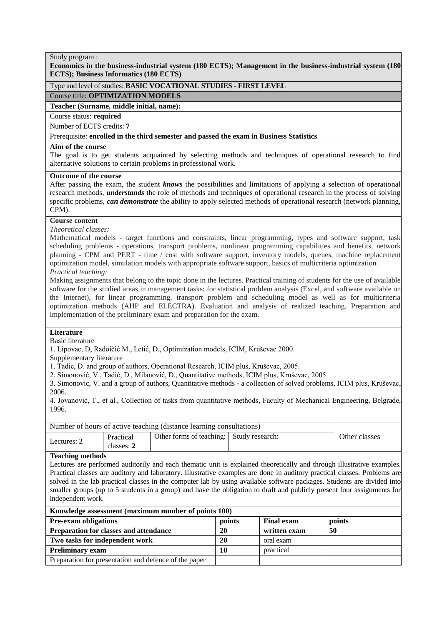**Economics in the business-industrial system (180 ECTS); Management in the business-industrial system (180 ECTS); Business Informatics (180 ECTS)**

# Type and level of studies: **BASIC VOCATIONAL STUDIES - FIRST LEVEL**

#### Course title: **OPTIMIZATION MODELS**

#### **Teacher (Surname, middle initial, name):**

Course status: **required**

Number of ECTS credits: **7**

#### Prerequisite: **enrolled in the third semester and passed the exam in Business Statistics**

#### **Aim of the course**

The goal is to get students acquainted by selecting methods and techniques of operational research to find alternative solutions to certain problems in professional work.

# **Outcome of the course**

After passing the exam, the student *knows* the possibilities and limitations of applying a selection of operational research methods, *understands* the role of methods and techniques of operational research in the process of solving specific problems, *can demonstrate* the ability to apply selected methods of operational research (network planning, CPM).

# **Course content**

*Theoretical classes:*

Mathematical models - target functions and constraints, linear programming, types and software support, task scheduling problems - operations, transport problems, nonlinear programming capabilities and benefits, network planning - CPM and PERT - time / cost with software support, inventory models, queues, machine replacement optimization model, simulation models with appropriate software support, basics of multicriteria optimization. *Practical teaching:*

Making assignments that belong to the topic done in the lectures. Practical training of students for the use of available software for the studied areas in management tasks: for statistical problem analysis (Excel, and software available on the Internet), for linear programming, transport problem and scheduling model as well as for multicriteria optimization methods (AHP and ELECTRA). Evaluation and analysis of realized teaching. Preparation and implementation of the preliminary exam and preparation for the exam.

# **Literature**

Basic literature

1. Lipovac, D, Radoičić M., Letić, D., Optimization models, ICIM, Kruševac 2000.

Supplementary literature

1. Tadic, D. and group of authors, Operational Research, ICIM plus, Kruševac, 2005.

2. Simonović, V., Tadić, D., Milanović, D., Quantitative methods, ICIM plus, Kruševac, 2005.

3. Simonovic, V. and a group of authors, Quantitative methods - a collection of solved problems, ICIM plus, Kruševac, 2006.

4. Jovanović, T., et al., Collection of tasks from quantitative methods, Faculty of Mechanical Engineering, Belgrade, 1996.

| Number of hours of active teaching (distance learning consultations) |                         |                                          |  |               |
|----------------------------------------------------------------------|-------------------------|------------------------------------------|--|---------------|
| Lectures: 2                                                          | Practical<br>classes: 2 | Other forms of teaching: Study research: |  | Other classes |

#### **Teaching methods**

Lectures are performed auditorily and each thematic unit is explained theoretically and through illustrative examples. Practical classes are auditory and laboratory. Illustrative examples are done in auditory practical classes. Problems are solved in the lab practical classes in the computer lab by using available software packages. Students are divided into smaller groups (up to 5 students in a group) and have the obligation to draft and publicly present four assignments for independent work.

| Knowledge assessment (maximum number of points 100)   |        |                   |        |  |  |
|-------------------------------------------------------|--------|-------------------|--------|--|--|
| <b>Pre-exam obligations</b>                           | points | <b>Final exam</b> | points |  |  |
| Preparation for classes and attendance                | 20     | written exam      | 50     |  |  |
| Two tasks for independent work                        | 20     | oral exam         |        |  |  |
| <b>Preliminary exam</b>                               | 10     | practical         |        |  |  |
| Preparation for presentation and defence of the paper |        |                   |        |  |  |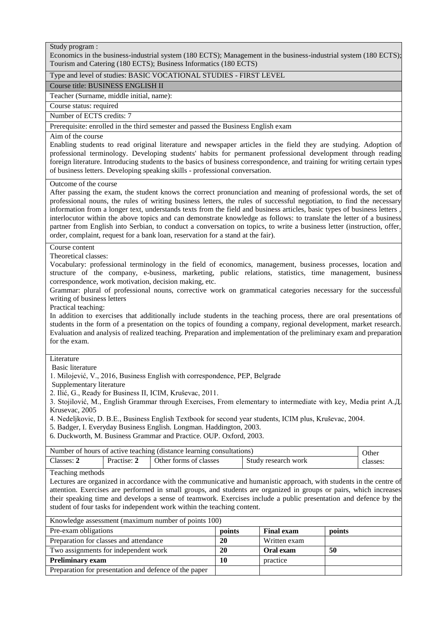Economics in the business-industrial system (180 ECTS); Management in the business-industrial system (180 ECTS); Tourism and Catering (180 ECTS); Business Informatics (180 ECTS)

#### Type and level of studies: BASIC VOCATIONAL STUDIES - FIRST LEVEL

#### Course title: BUSINESS ENGLISH II

Teacher (Surname, middle initial, name):

Course status: required

Number of ECTS credits: 7

Prerequisite: enrolled in the third semester and passed the Business English exam

#### Aim of the course

Enabling students to read original literature and newspaper articles in the field they are studying. Adoption of professional terminology. Developing students' habits for permanent professional development through reading foreign literature. Introducing students to the basics of business correspondence, and training for writing certain types of business letters. Developing speaking skills - professional conversation.

# Outcome of the course

After passing the exam, the student knows the correct pronunciation and meaning of professional words, the set of professional nouns, the rules of writing business letters, the rules of successful negotiation, to find the necessary information from a longer text, understands texts from the field and business articles, basic types of business letters , interlocutor within the above topics and can demonstrate knowledge as follows: to translate the letter of a business partner from English into Serbian, to conduct a conversation on topics, to write a business letter (instruction, offer, order, complaint, request for a bank loan, reservation for a stand at the fair).

# Course content

Theoretical classes:

Vocabulary: professional terminology in the field of economics, management, business processes, location and structure of the company, e-business, marketing, public relations, statistics, time management, business correspondence, work motivation, decision making, etc.

Grammar: plural of professional nouns, corrective work on grammatical categories necessary for the successful writing of business letters

Practical teaching:

In addition to exercises that additionally include students in the teaching process, there are oral presentations of students in the form of a presentation on the topics of founding a company, regional development, market research. Evaluation and analysis of realized teaching. Preparation and implementation of the preliminary exam and preparation for the exam.

#### Literature

Basic literature

1. Milojević, V., 2016, Business English with correspondence, PEP, Belgrade

Supplementary literature

2. Ilić, G., Ready for Business II, ICIM, Kruševac, 2011.

3. Stojilović, M., English Grammar through Exercises, From elementary to intermediate with key, Media print А.Д. Krusevac, 2005

4. Nedeljkovic, D. B.E., Business English Textbook for second year students, ICIM plus, Kruševac, 2004.

5. Badger, I. Everyday Business English. Longman. Haddington, 2003.

6. Duckworth, M. Business Grammar and Practice. OUP. Oxford, 2003.

| Number of hours of active teaching (distance learning consultations) |             |                                                           |  | Other |  |  |
|----------------------------------------------------------------------|-------------|-----------------------------------------------------------|--|-------|--|--|
| Classes: 2                                                           | Practise: 2 | Other forms of classes<br>Study research work<br>classes: |  |       |  |  |
| $\mathbf{m}$ 1, $\mathbf{1}$ 1, $\mathbf{1}$                         |             |                                                           |  |       |  |  |

Teaching methods

Lectures are organized in accordance with the communicative and humanistic approach, with students in the centre of attention. Exercises are performed in small groups, and students are organized in groups or pairs, which increases their speaking time and develops a sense of teamwork. Exercises include a public presentation and defence by the student of four tasks for independent work within the teaching content.

| Knowledge assessment (maximum number of points 100) |  |
|-----------------------------------------------------|--|
|                                                     |  |

| Pre-exam obligations                                  | points | <b>Final exam</b> | points |
|-------------------------------------------------------|--------|-------------------|--------|
| Preparation for classes and attendance                | 20     | Written exam      |        |
| Two assignments for independent work                  | 20     | Oral exam         | 50     |
| <b>Preliminary exam</b>                               | 10     | practice          |        |
| Preparation for presentation and defence of the paper |        |                   |        |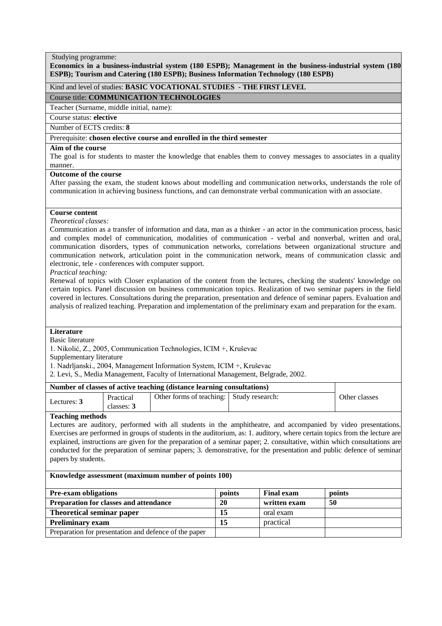#### Studying programme:

**Economics in a business-industrial system (180 ESPB); Management in the business-industrial system (180 ESPB); Tourism and Catering (180 ESPB); Business Information Technology (180 ESPB)**

# Kind and level of studies: **BASIC VOCATIONAL STUDIES - THE FIRST LEVEL**

Course title: **COMMUNICATION TECHNOLOGIES**

Teacher (Surname, middle initial, name):

Course status: **elective**

Number of ECTS credits: **8**

Prerequisite: **chosen elective course and enrolled in the third semester**

#### **Aim of the course**

The goal is for students to master the knowledge that enables them to convey messages to associates in a quality manner.

# **Outcome of the course**

After passing the exam, the student knows about modelling and communication networks, understands the role of communication in achieving business functions, and can demonstrate verbal communication with an associate.

#### **Course content**

#### *Theoretical classes:*

Communication as a transfer of information and data, man as a thinker - an actor in the communication process, basic and complex model of communication, modalities of communication - verbal and nonverbal, written and oral, communication disorders, types of communication networks, correlations between organizational structure and communication network, articulation point in the communication network, means of communication classic and electronic, tele - conferences with computer support.

*Practical teaching:*

Renewal of topics with Closer explanation of the content from the lectures, checking the students' knowledge on certain topics. Panel discussion on business communication topics. Realization of two seminar papers in the field covered in lectures. Consultations during the preparation, presentation and defence of seminar papers. Evaluation and analysis of realized teaching. Preparation and implementation of the preliminary exam and preparation for the exam.

#### **Literature**

Basic literature

1. Nikolić, Z., 2005, Communication Technologies, ICIM +, Kruševac

Supplementary literature

1. Nadrljanski., 2004, Management Information System, ICIM +, Kruševac

2. Levi, S., Media Management, Faculty of International Management, Belgrade, 2002.

#### **Number of classes of active teaching (distance learning consultations)**

| Trainber of employ of nearly teneming parameter fearming comparaments |                         |                                          |  |               |
|-----------------------------------------------------------------------|-------------------------|------------------------------------------|--|---------------|
| Lectures: 3                                                           | Practical<br>classes: 3 | Other forms of teaching: Study research: |  | Other classes |

#### **Teaching methods**

Lectures are auditory, performed with all students in the amphitheatre, and accompanied by video presentations. Exercises are performed in groups of students in the auditorium, as: 1. auditory, where certain topics from the lecture are explained, instructions are given for the preparation of a seminar paper; 2. consultative, within which consultations are conducted for the preparation of seminar papers; 3. demonstrative, for the presentation and public defence of seminar papers by students.

| <b>Pre-exam obligations</b>                           | points | <b>Final exam</b> | points |
|-------------------------------------------------------|--------|-------------------|--------|
| Preparation for classes and attendance                | 20     | written exam      | 50     |
| Theoretical seminar paper                             | 15     | oral exam         |        |
| <b>Preliminary exam</b>                               |        | practical         |        |
| Preparation for presentation and defence of the paper |        |                   |        |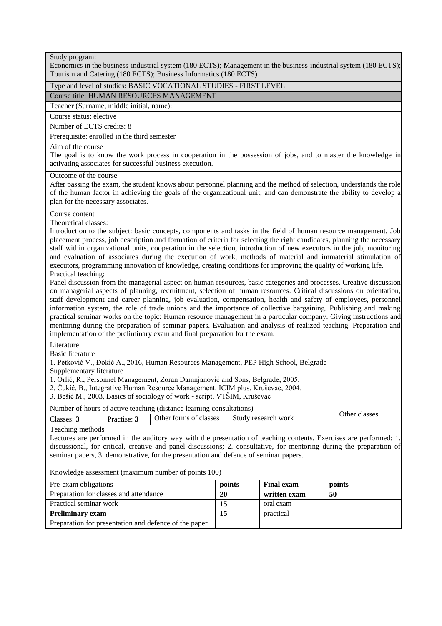Economics in the business-industrial system (180 ECTS); Management in the business-industrial system (180 ECTS); Tourism and Catering (180 ECTS); Business Informatics (180 ECTS)

# Type and level of studies: BASIC VOCATIONAL STUDIES - FIRST LEVEL

Course title: HUMAN RESOURCES MANAGEMENT

Teacher (Surname, middle initial, name):

Course status: elective

Number of ECTS credits: 8

Prerequisite: enrolled in the third semester

# Aim of the course

The goal is to know the work process in cooperation in the possession of jobs, and to master the knowledge in activating associates for successful business execution.

#### Outcome of the course

After passing the exam, the student knows about personnel planning and the method of selection, understands the role of the human factor in achieving the goals of the organizational unit, and can demonstrate the ability to develop a plan for the necessary associates.

#### Course content

Theoretical classes:

Introduction to the subject: basic concepts, components and tasks in the field of human resource management. Job placement process, job description and formation of criteria for selecting the right candidates, planning the necessary staff within organizational units, cooperation in the selection, introduction of new executors in the job, monitoring and evaluation of associates during the execution of work, methods of material and immaterial stimulation of executors, programming innovation of knowledge, creating conditions for improving the quality of working life. Practical teaching:

Panel discussion from the managerial aspect on human resources, basic categories and processes. Creative discussion on managerial aspects of planning, recruitment, selection of human resources. Critical discussions on orientation, staff development and career planning, job evaluation, compensation, health and safety of employees, personnel information system, the role of trade unions and the importance of collective bargaining. Publishing and making practical seminar works on the topic: Human resource management in a particular company. Giving instructions and mentoring during the preparation of seminar papers. Evaluation and analysis of realized teaching. Preparation and implementation of the preliminary exam and final preparation for the exam.

Literature

Basic literature

1. Petković V., Đokić A., 2016, Human Resources Management, PEP High School, Belgrade

Supplementary literature

1. Orlić, R., Personnel Management, Zoran Damnjanović and Sons, Belgrade, 2005.

2. Čukić, B., Integrative Human Resource Management, ICIM plus, Kruševac, 2004.

3. Bešić M., 2003, Basics of sociology of work - script, VTŠIM, Kruševac

| Other forms of classes   Study research work<br>Classes: $3$<br>Practise: 3 | Number of hours of active teaching (distance learning consultations) |  |  |  |               |
|-----------------------------------------------------------------------------|----------------------------------------------------------------------|--|--|--|---------------|
|                                                                             |                                                                      |  |  |  | Other classes |

Teaching methods

Lectures are performed in the auditory way with the presentation of teaching contents. Exercises are performed: 1. discussional, for critical, creative and panel discussions; 2. consultative, for mentoring during the preparation of seminar papers, 3. demonstrative, for the presentation and defence of seminar papers.

| Pre-exam obligations                                  | points | <b>Final exam</b> | points |
|-------------------------------------------------------|--------|-------------------|--------|
| Preparation for classes and attendance                | 20     | written exam      | 50     |
| Practical seminar work                                |        | oral exam         |        |
| <b>Preliminary exam</b>                               |        | practical         |        |
| Preparation for presentation and defence of the paper |        |                   |        |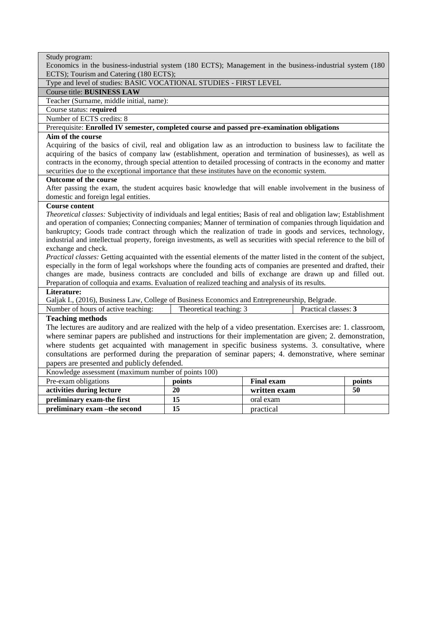| Study program:                                                                                                         |                         |                   |                      |
|------------------------------------------------------------------------------------------------------------------------|-------------------------|-------------------|----------------------|
| Economics in the business-industrial system (180 ECTS); Management in the business-industrial system (180              |                         |                   |                      |
| ECTS); Tourism and Catering (180 ECTS);                                                                                |                         |                   |                      |
| Type and level of studies: BASIC VOCATIONAL STUDIES - FIRST LEVEL                                                      |                         |                   |                      |
| Course title: BUSINESS LAW                                                                                             |                         |                   |                      |
| Teacher (Surname, middle initial, name):                                                                               |                         |                   |                      |
| Course status: required                                                                                                |                         |                   |                      |
| Number of ECTS credits: 8                                                                                              |                         |                   |                      |
| Prerequisite: Enrolled IV semester, completed course and passed pre-examination obligations                            |                         |                   |                      |
| Aim of the course                                                                                                      |                         |                   |                      |
| Acquiring of the basics of civil, real and obligation law as an introduction to business law to facilitate the         |                         |                   |                      |
| acquiring of the basics of company law (establishment, operation and termination of businesses), as well as            |                         |                   |                      |
| contracts in the economy, through special attention to detailed processing of contracts in the economy and matter      |                         |                   |                      |
| securities due to the exceptional importance that these institutes have on the economic system.                        |                         |                   |                      |
| Outcome of the course                                                                                                  |                         |                   |                      |
| After passing the exam, the student acquires basic knowledge that will enable involvement in the business of           |                         |                   |                      |
| domestic and foreign legal entities.                                                                                   |                         |                   |                      |
| <b>Course content</b>                                                                                                  |                         |                   |                      |
| Theoretical classes: Subjectivity of individuals and legal entities; Basis of real and obligation law; Establishment   |                         |                   |                      |
| and operation of companies; Connecting companies; Manner of termination of companies through liquidation and           |                         |                   |                      |
| bankruptcy; Goods trade contract through which the realization of trade in goods and services, technology,             |                         |                   |                      |
| industrial and intellectual property, foreign investments, as well as securities with special reference to the bill of |                         |                   |                      |
| exchange and check.                                                                                                    |                         |                   |                      |
| Practical classes: Getting acquainted with the essential elements of the matter listed in the content of the subject,  |                         |                   |                      |
| especially in the form of legal workshops where the founding acts of companies are presented and drafted, their        |                         |                   |                      |
| changes are made, business contracts are concluded and bills of exchange are drawn up and filled out.                  |                         |                   |                      |
| Preparation of colloquia and exams. Evaluation of realized teaching and analysis of its results.<br>Literature:        |                         |                   |                      |
|                                                                                                                        |                         |                   |                      |
| Galjak I., (2016), Business Law, College of Business Economics and Entrepreneurship, Belgrade.                         |                         |                   |                      |
| Number of hours of active teaching:                                                                                    | Theoretical teaching: 3 |                   | Practical classes: 3 |
| <b>Teaching methods</b>                                                                                                |                         |                   |                      |
| The lectures are auditory and are realized with the help of a video presentation. Exercises are: 1. classroom,         |                         |                   |                      |
| where seminar papers are published and instructions for their implementation are given; 2. demonstration,              |                         |                   |                      |
| where students get acquainted with management in specific business systems. 3. consultative, where                     |                         |                   |                      |
| consultations are performed during the preparation of seminar papers; 4. demonstrative, where seminar                  |                         |                   |                      |
| papers are presented and publicly defended.                                                                            |                         |                   |                      |
| Knowledge assessment (maximum number of points 100)                                                                    |                         |                   |                      |
| Pre-exam obligations                                                                                                   | points                  | <b>Final exam</b> | points               |
| activities during lecture                                                                                              | 20                      | written exam      | 50                   |
| preliminary exam-the first                                                                                             | 15                      | oral exam         |                      |
| preliminary exam - the second                                                                                          | $\overline{15}$         | practical         |                      |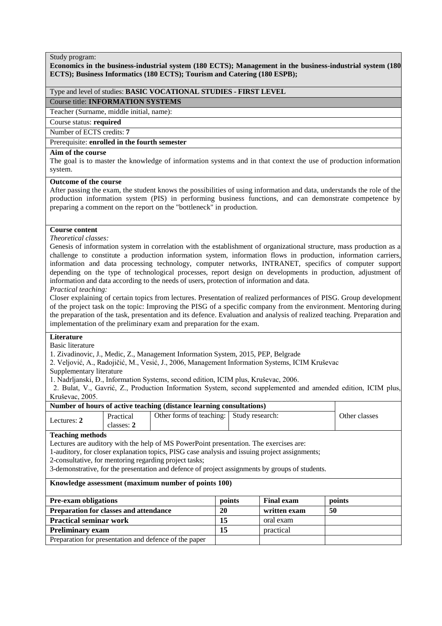#### **Economics in the business-industrial system (180 ECTS); Management in the business-industrial system (180 ECTS); Business Informatics (180 ECTS); Tourism and Catering (180 ESPB);**

# Type and level of studies: **BASIC VOCATIONAL STUDIES - FIRST LEVEL**

Course title: **INFORMATION SYSTEMS**

Teacher (Surname, middle initial, name):

Course status: **required**

Number of ECTS credits: **7**

# Prerequisite: **enrolled in the fourth semester**

# **Aim of the course**

The goal is to master the knowledge of information systems and in that context the use of production information system.

#### **Outcome of the course**

After passing the exam, the student knows the possibilities of using information and data, understands the role of the production information system (PIS) in performing business functions, and can demonstrate competence by preparing a comment on the report on the "bottleneck" in production.

#### **Course content**

#### *Theoretical classes:*

Genesis of information system in correlation with the establishment of organizational structure, mass production as a challenge to constitute a production information system, information flows in production, information carriers, information and data processing technology, computer networks, INTRANET, specifics of computer support depending on the type of technological processes, report design on developments in production, adjustment of information and data according to the needs of users, protection of information and data.

#### *Practical teaching:*

Closer explaining of certain topics from lectures. Presentation of realized performances of PISG. Group development of the project task on the topic: Improving the PISG of a specific company from the environment. Mentoring during the preparation of the task, presentation and its defence. Evaluation and analysis of realized teaching. Preparation and implementation of the preliminary exam and preparation for the exam.

# **Literature**

Basic literature

1. Zivadinovic, J., Medic, Z., Management Information System, 2015, PEP, Belgrade

2. Veljović, A., Radojičić, M., Vesić, J., 2006, Management Information Systems, ICIM Kruševac

Supplementary literature

1. Nadrljanski, Đ., Information Systems, second edition, ICIM plus, Kruševac, 2006.

 2. Bulat, V., Gavrić, Z., Production Information System, second supplemented and amended edition, ICIM plus, Kruševac, 2005.

#### **Number of hours of active teaching (distance learning consultations)**

| Lectures: | Practical<br>classes: 2 | Other forms of teaching: Study research: | Other classes |
|-----------|-------------------------|------------------------------------------|---------------|

# **Teaching methods**

Lectures are auditory with the help of MS PowerPoint presentation. The exercises are:

1-auditory, for closer explanation topics, PISG case analysis and issuing project assignments;

2-consultative, for mentoring regarding project tasks;

3-demonstrative, for the presentation and defence of project assignments by groups of students.

| <b>Pre-exam obligations</b>                           | points | <b>Final exam</b> | points |
|-------------------------------------------------------|--------|-------------------|--------|
| <b>Preparation for classes and attendance</b>         | 20     | written exam      | 50     |
| <b>Practical seminar work</b>                         | 15     | oral exam         |        |
| <b>Preliminary exam</b>                               | 15     | practical         |        |
| Preparation for presentation and defence of the paper |        |                   |        |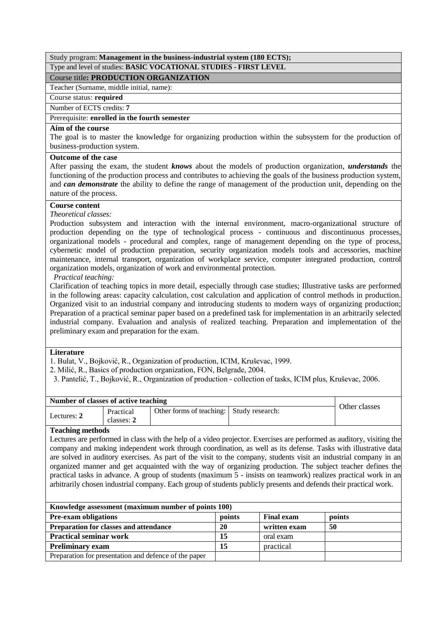# Study program: **Management in the business-industrial system (180 ECTS);** Type and level of studies: **BASIC VOCATIONAL STUDIES - FIRST LEVEL**

# Course title**: PRODUCTION ORGANIZATION**

Teacher (Surname, middle initial, name):

Course status: **required**

Number of ECTS credits: **7**

# Prerequisite: **enrolled in the fourth semester**

# **Aim of the course**

The goal is to master the knowledge for organizing production within the subsystem for the production of business-production system.

# **Outcome of the case**

After passing the exam, the student *knows* about the models of production organization, *understands* the functioning of the production process and contributes to achieving the goals of the business production system, and *can demonstrate* the ability to define the range of management of the production unit, depending on the nature of the process.

# **Course content**

# *Theoretical classes:*

Production subsystem and interaction with the internal environment, macro-organizational structure of production depending on the type of technological process - continuous and discontinuous processes, organizational models - procedural and complex, range of management depending on the type of process, cybernetic model of production preparation, security organization models tools and accessories, machine maintenance, internal transport, organization of workplace service, computer integrated production, control organization models, organization of work and environmental protection.

# *Practical teaching:*

Clarification of teaching topics in more detail, especially through case studies; Illustrative tasks are performed in the following areas: capacity calculation, cost calculation and application of control methods in production. Organized visit to an industrial company and introducing students to modern ways of organizing production; Preparation of a practical seminar paper based on a predefined task for implementation in an arbitrarily selected industrial company. Evaluation and analysis of realized teaching. Preparation and implementation of the preliminary exam and preparation for the exam.

# **Literature**

1. Bulat, V., Bojković, R., Organization of production, ICIM, Kruševac, 1999.

2. Milić, R., Basics of production organization, FON, Belgrade, 2004.

3. Pantelić, T., Bojković, R., Organization of production - collection of tasks, ICIM plus, Kruševac, 2006.

| Number of classes of active teaching | Other classes           |                                          |  |  |
|--------------------------------------|-------------------------|------------------------------------------|--|--|
| Lectures: 2                          | Practical<br>classes: 2 | Other forms of teaching: Study research: |  |  |

# **Teaching methods**

Lectures are performed in class with the help of a video projector. Exercises are performed as auditory, visiting the company and making independent work through coordination, as well as its defense. Tasks with illustrative data are solved in auditory exercises. As part of the visit to the company, students visit an industrial company in an organized manner and get acquainted with the way of organizing production. The subject teacher defines the practical tasks in advance. A group of students (maximum 5 - insists on teamwork) realizes practical work in an arbitrarily chosen industrial company. Each group of students publicly presents and defends their practical work.

| Knowledge assessment (maximum number of points 100)   |        |                   |        |  |
|-------------------------------------------------------|--------|-------------------|--------|--|
| <b>Pre-exam obligations</b>                           | points | <b>Final exam</b> | points |  |
| <b>Preparation for classes and attendance</b>         | 20     | written exam      | 50     |  |
| <b>Practical seminar work</b>                         | 15     | oral exam         |        |  |
| <b>Preliminary exam</b>                               | 15     | practical         |        |  |
| Preparation for presentation and defence of the paper |        |                   |        |  |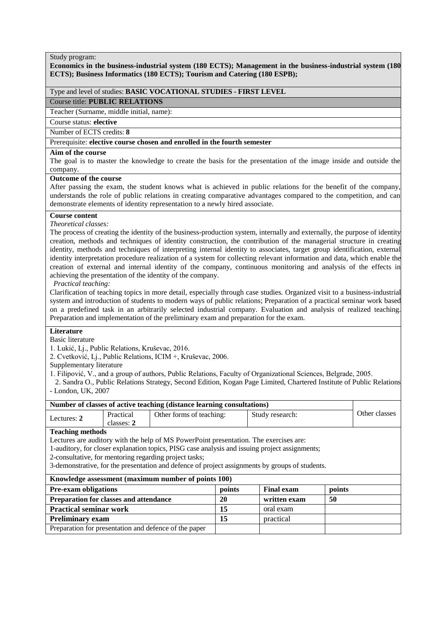#### **Economics in the business-industrial system (180 ECTS); Management in the business-industrial system (180 ECTS); Business Informatics (180 ECTS); Tourism and Catering (180 ESPB);**

# Type and level of studies: **BASIC VOCATIONAL STUDIES - FIRST LEVEL**

Course title: **PUBLIC RELATIONS**

Teacher (Surname, middle initial, name):

Course status: **elective**

Number of ECTS credits: **8**

# Prerequisite: **elective course chosen and enrolled in the fourth semester**

#### **Aim of the course**

The goal is to master the knowledge to create the basis for the presentation of the image inside and outside the company.

#### **Outcome of the course**

After passing the exam, the student knows what is achieved in public relations for the benefit of the company, understands the role of public relations in creating comparative advantages compared to the competition, and can demonstrate elements of identity representation to a newly hired associate.

# **Course content**

#### *Theoretical classes:*

The process of creating the identity of the business-production system, internally and externally, the purpose of identity creation, methods and techniques of identity construction, the contribution of the managerial structure in creating identity, methods and techniques of interpreting internal identity to associates, target group identification, external identity interpretation procedure realization of a system for collecting relevant information and data, which enable the creation of external and internal identity of the company, continuous monitoring and analysis of the effects in achieving the presentation of the identity of the company.

*Practical teaching:*

Clarification of teaching topics in more detail, especially through case studies. Organized visit to a business-industrial system and introduction of students to modern ways of public relations; Preparation of a practical seminar work based on a predefined task in an arbitrarily selected industrial company. Evaluation and analysis of realized teaching. Preparation and implementation of the preliminary exam and preparation for the exam.

# **Literature**

Basic literature

1. Lukić, Lj., Public Relations, Kruševac, 2016.

2. Cvetković, Lj., Public Relations, ICIM +, Kruševac, 2006.

Supplementary literature

1. Filipović, V., and a group of authors, Public Relations, Faculty of Organizational Sciences, Belgrade, 2005.

 2. Sandra O., Public Relations Strategy, Second Edition, Kogan Page Limited, Chartered Institute of Public Relations - London, UK, 2007

| Number of classes of active teaching (distance learning consultations) |            |                                                                                       |        |                                                                                                 |        |               |
|------------------------------------------------------------------------|------------|---------------------------------------------------------------------------------------|--------|-------------------------------------------------------------------------------------------------|--------|---------------|
| Lectures: 2                                                            | Practical  | Other forms of teaching:                                                              |        | Study research:                                                                                 |        | Other classes |
|                                                                        | classes: 2 |                                                                                       |        |                                                                                                 |        |               |
| <b>Teaching methods</b>                                                |            |                                                                                       |        |                                                                                                 |        |               |
|                                                                        |            | Lectures are auditory with the help of MS PowerPoint presentation. The exercises are: |        |                                                                                                 |        |               |
|                                                                        |            |                                                                                       |        | 1-auditory, for closer explanation topics, PISG case analysis and issuing project assignments;  |        |               |
|                                                                        |            | 2-consultative, for mentoring regarding project tasks;                                |        |                                                                                                 |        |               |
|                                                                        |            |                                                                                       |        | 3-demonstrative, for the presentation and defence of project assignments by groups of students. |        |               |
|                                                                        |            | Knowledge assessment (maximum number of points 100)                                   |        |                                                                                                 |        |               |
| <b>Pre-exam obligations</b>                                            |            |                                                                                       | points | <b>Final exam</b>                                                                               | points |               |
| Preparation for classes and attendance                                 |            |                                                                                       | 20     | written exam                                                                                    | 50     |               |
| 15<br><b>Practical seminar work</b><br>oral exam                       |            |                                                                                       |        |                                                                                                 |        |               |
| <b>Preliminary exam</b>                                                |            |                                                                                       | 15     | practical                                                                                       |        |               |
|                                                                        |            | Preparation for presentation and defence of the paper                                 |        |                                                                                                 |        |               |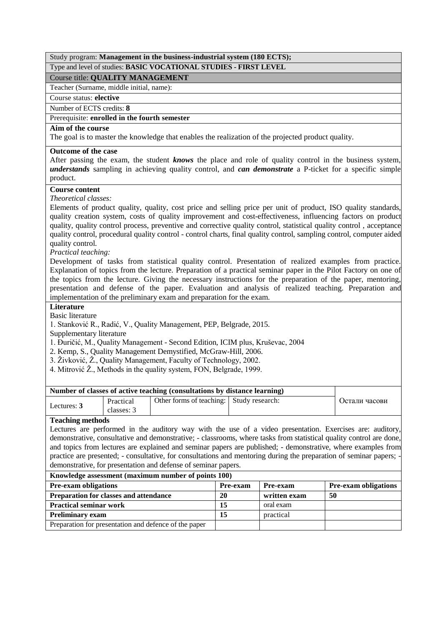# Study program: **Management in the business-industrial system (180 ECTS);**

# Type and level of studies: **BASIC VOCATIONAL STUDIES - FIRST LEVEL**

# Course title: **QUALITY MANAGEMENT**

Teacher (Surname, middle initial, name):

# Course status: **elective**

Number of ECTS credits: **8**

# Prerequisite: **enrolled in the fourth semester**

# **Aim of the course**

The goal is to master the knowledge that enables the realization of the projected product quality.

# **Outcome of the case**

After passing the exam, the student *knows* the place and role of quality control in the business system, *understands* sampling in achieving quality control, and *can demonstrate* a P-ticket for a specific simple product.

# **Course content**

*Theoretical classes:*

Elements of product quality, quality, cost price and selling price per unit of product, ISO quality standards, quality creation system, costs of quality improvement and cost-effectiveness, influencing factors on product quality, quality control process, preventive and corrective quality control, statistical quality control , acceptance quality control, procedural quality control - control charts, final quality control, sampling control, computer aided quality control.

*Practical teaching:*

Development of tasks from statistical quality control. Presentation of realized examples from practice. Explanation of topics from the lecture. Preparation of a practical seminar paper in the Pilot Factory on one of the topics from the lecture. Giving the necessary instructions for the preparation of the paper, mentoring, presentation and defense of the paper. Evaluation and analysis of realized teaching. Preparation and implementation of the preliminary exam and preparation for the exam.

# **Literature**

Basic literature

1. Stanković R., Radić, V., Quality Management, PEP, Belgrade, 2015.

Supplementary literature

1. Đuričić, M., Quality Management - Second Edition, ICIM plus, Kruševac, 2004

- 2. Kemp, S., Quality Management Demystified, McGraw-Hill, 2006.
- 3. Živković, Ž., Quality Management, Faculty of Technology, 2002.

4. Mitrović Ž., Methods in the quality system, FON, Belgrade, 1999.

| Number of classes of active teaching (consultations by distance learning) |                         |                                          |  |               |
|---------------------------------------------------------------------------|-------------------------|------------------------------------------|--|---------------|
| Lectures: 3                                                               | Practical<br>classes: 3 | Other forms of teaching: Study research: |  | Остали часови |

# **Teaching methods**

Lectures are performed in the auditory way with the use of a video presentation. Exercises are: auditory, demonstrative, consultative and demonstrative; - classrooms, where tasks from statistical quality control are done, and topics from lectures are explained and seminar papers are published; - demonstrative, where examples from practice are presented; - consultative, for consultations and mentoring during the preparation of seminar papers; demonstrative, for presentation and defense of seminar papers.

| <b>Pre-exam obligations</b>                           | <b>Pre-exam</b> | <b>Pre-exam</b> | <b>Pre-exam obligations</b> |  |  |
|-------------------------------------------------------|-----------------|-----------------|-----------------------------|--|--|
| <b>Preparation for classes and attendance</b>         | 20              | written exam    | -50                         |  |  |
| <b>Practical seminar work</b>                         |                 | oral exam       |                             |  |  |
| <b>Preliminary exam</b>                               | 15              | practical       |                             |  |  |
| Preparation for presentation and defence of the paper |                 |                 |                             |  |  |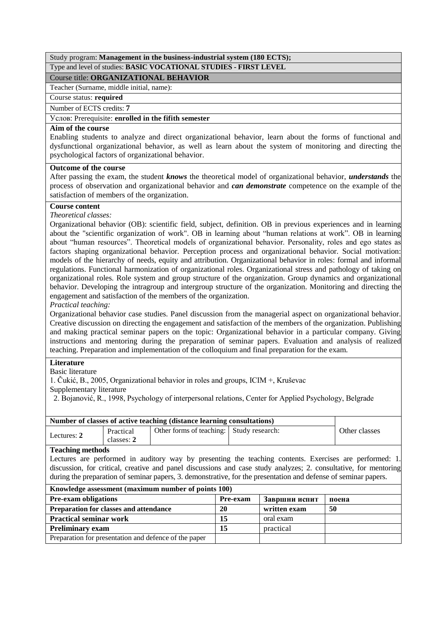# Study program: **Management in the business-industrial system (180 ECTS);** Type and level of studies: **BASIC VOCATIONAL STUDIES - FIRST LEVEL**

# Course title: **ORGANIZATIONAL BEHAVIOR**

# Teacher (Surname, middle initial, name):

# Course status: **required**

Number of ECTS credits: **7**

# Услов: Prerequisite: **enrolled in the fifith semester**

# **Aim of the course**

Enabling students to analyze and direct organizational behavior, learn about the forms of functional and dysfunctional organizational behavior, as well as learn about the system of monitoring and directing the psychological factors of organizational behavior.

# **Outcome of the course**

After passing the exam, the student *knows* the theoretical model of organizational behavior, *understands* the process of observation and organizational behavior and *can demonstrate* competence on the example of the satisfaction of members of the organization.

# **Course content**

*Theoretical classes:*

Organizational behavior (OB): scientific field, subject, definition. OB in previous experiences and in learning about the "scientific organization of work". OB in learning about "human relations at work". OB in learning about "human resources". Theoretical models of organizational behavior. Personality, roles and ego states as factors shaping organizational behavior. Perception process and organizational behavior. Social motivation: models of the hierarchy of needs, equity and attribution. Organizational behavior in roles: formal and informal regulations. Functional harmonization of organizational roles. Organizational stress and pathology of taking on organizational roles. Role system and group structure of the organization. Group dynamics and organizational behavior. Developing the intragroup and intergroup structure of the organization. Monitoring and directing the engagement and satisfaction of the members of the organization.

# *Practical teaching:*

Organizational behavior case studies. Panel discussion from the managerial aspect on organizational behavior. Creative discussion on directing the engagement and satisfaction of the members of the organization. Publishing and making practical seminar papers on the topic: Organizational behavior in a particular company. Giving instructions and mentoring during the preparation of seminar papers. Evaluation and analysis of realized teaching. Preparation and implementation of the colloquium and final preparation for the exam.

# **Literature**

# Basic literature

1. Čukić, B., 2005, Organizational behavior in roles and groups, ICIM +, Kruševac

Supplementary literature

2. Bojanović, R., 1998, Psychology of interpersonal relations, Center for Applied Psychology, Belgrade

| Number of classes of active teaching (distance learning consultations) |                         |                                          |  |               |  |
|------------------------------------------------------------------------|-------------------------|------------------------------------------|--|---------------|--|
| Lectures: 2                                                            | Practical<br>classes: 2 | Other forms of teaching: Study research: |  | Other classes |  |
| $\mathbf{m}$ is a set                                                  |                         |                                          |  |               |  |

# **Teaching methods**

Lectures are performed in auditory way by presenting the teaching contents. Exercises are performed: 1. discussion, for critical, creative and panel discussions and case study analyzes; 2. consultative, for mentoring during the preparation of seminar papers, 3. demonstrative, for the presentation and defense of seminar papers.

| Knowledge assessment (maximum number of points 100)   |          |               |       |  |
|-------------------------------------------------------|----------|---------------|-------|--|
| <b>Pre-exam obligations</b>                           | Pre-exam | Завршни испит | поена |  |
| <b>Preparation for classes and attendance</b>         | 20       | written exam  | -50   |  |
| <b>Practical seminar work</b>                         | 15       | oral exam     |       |  |
| <b>Preliminary exam</b>                               | 15       | practical     |       |  |
| Preparation for presentation and defence of the paper |          |               |       |  |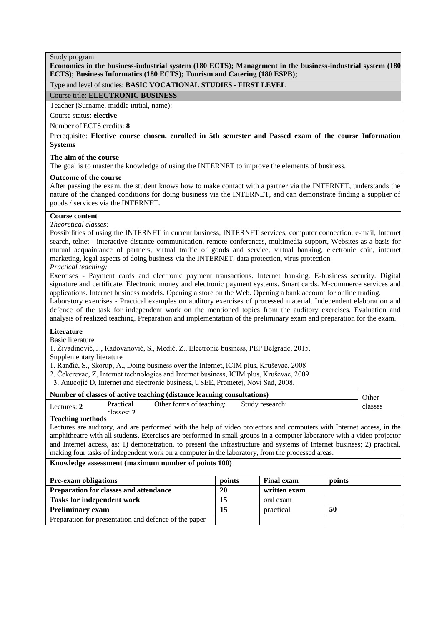**Economics in the business-industrial system (180 ECTS); Management in the business-industrial system (180 ECTS); Business Informatics (180 ECTS); Tourism and Catering (180 ESPB);**

#### Type and level of studies: **BASIC VOCATIONAL STUDIES - FIRST LEVEL**

Course title: **ELECTRONIC BUSINESS**

Teacher (Surname, middle initial, name):

# Course status: **elective**

# Number of ECTS credits: **8**

Prerequisite: **Elective course chosen, enrolled in 5th semester and Passed exam of the course Information Systems**

# **The aim of the course**

The goal is to master the knowledge of using the INTERNET to improve the elements of business.

#### **Outcome of the course**

After passing the exam, the student knows how to make contact with a partner via the INTERNET, understands the nature of the changed conditions for doing business via the INTERNET, and can demonstrate finding a supplier of goods / services via the INTERNET.

# **Course content**

*Theoretical classes:*

Possibilities of using the INTERNET in current business, INTERNET services, computer connection, e-mail, Internet search, telnet - interactive distance communication, remote conferences, multimedia support, Websites as a basis for mutual acquaintance of partners, virtual traffic of goods and service, virtual banking, electronic coin, internet marketing, legal aspects of doing business via the INTERNET, data protection, virus protection.

*Practical teaching:*

Exercises - Payment cards and electronic payment transactions. Internet banking. E-business security. Digital signature and certificate. Electronic money and electronic payment systems. Smart cards. M-commerce services and applications. Internet business models. Opening a store on the Web. Opening a bank account for online trading.

Laboratory exercises - Practical examples on auditory exercises of processed material. Independent elaboration and defence of the task for independent work on the mentioned topics from the auditory exercises. Evaluation and analysis of realized teaching. Preparation and implementation of the preliminary exam and preparation for the exam.

# **Literature**

Basic literature

1. Živadinović, J., Radovanović, S., Medić, Z., Electronic business, PEP Belgrade, 2015.

Supplementary literature

1. Ranđić, S., Skorup, A., Doing business over the Internet, ICIM plus, Kruševac, 2008

- 2. Čekerevac, Z, Internet technologies and Internet business, ICIM plus, Kruševac, 2009
- 3. Anucojić D, Internet and electronic business, USEE, Prometej, Novi Sad, 2008.

| Number of classes of active teaching (distance learning consultations) |           |                          |                 | Other   |
|------------------------------------------------------------------------|-----------|--------------------------|-----------------|---------|
| Lectures: 2                                                            | Practical | Other forms of teaching: | Study research: | classes |
| $^\circ$ classes: $^\bullet$<br>---                                    |           |                          |                 |         |

# **Teaching methods**

Lectures are auditory, and are performed with the help of video projectors and computers with Internet access, in the amphitheatre with all students. Exercises are performed in small groups in a computer laboratory with a video projector and Internet access, as: 1) demonstration, to present the infrastructure and systems of Internet business; 2) practical, making four tasks of independent work on a computer in the laboratory, from the processed areas.

| <b>Pre-exam obligations</b>                           | points | <b>Final exam</b> | points |
|-------------------------------------------------------|--------|-------------------|--------|
| <b>Preparation for classes and attendance</b>         | 20     | written exam      |        |
| <b>Tasks for independent work</b>                     | 15     | oral exam         |        |
| <b>Preliminary exam</b>                               |        | practical         | 50     |
| Preparation for presentation and defence of the paper |        |                   |        |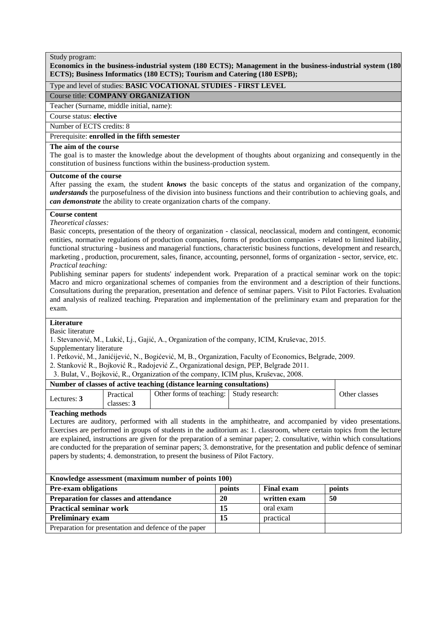# **Economics in the business-industrial system (180 ECTS); Management in the business-industrial system (180 ECTS); Business Informatics (180 ECTS); Tourism and Catering (180 ESPB);**

# Type and level of studies: **BASIC VOCATIONAL STUDIES - FIRST LEVEL**

# Course title: **COMPANY ORGANIZATION**

Teacher (Surname, middle initial, name):

#### Course status: **elective**

Number of ECTS credits: 8

# Prerequisite: **enrolled in the fifth semester**

#### **The aim of the course**

The goal is to master the knowledge about the development of thoughts about organizing and consequently in the constitution of business functions within the business-production system.

# **Outcome of the course**

After passing the exam, the student *knows* the basic concepts of the status and organization of the company, *understands* the purposefulness of the division into business functions and their contribution to achieving goals, and *can demonstrate* the ability to create organization charts of the company.

# **Course content**

*Theoretical classes:*

Basic concepts, presentation of the theory of organization - classical, neoclassical, modern and contingent, economic entities, normative regulations of production companies, forms of production companies - related to limited liability, functional structuring - business and managerial functions, characteristic business functions, development and research, marketing , production, procurement, sales, finance, accounting, personnel, forms of organization - sector, service, etc. *Practical teaching:*

Publishing seminar papers for students' independent work. Preparation of a practical seminar work on the topic: Macro and micro organizational schemes of companies from the environment and a description of their functions. Consultations during the preparation, presentation and defence of seminar papers. Visit to Pilot Factories. Evaluation and analysis of realized teaching. Preparation and implementation of the preliminary exam and preparation for the exam.

# **Literature**

Basic literature

1. Stevanović, M., Lukić, Lj., Gajić, A., Organization of the company, ICIM, Kruševac, 2015.

Supplementary literature

- 1. Petković, M., Janićijević, N., Bogićević, M, B., Organization, Faculty of Economics, Belgrade, 2009.
- 2. Stanković R., Bojković R., Radojević Z., Organizational design, PEP, Belgrade 2011.
- 3. Bulat, V., Bojković, R., Organization of the company, ICIM plus, Kruševac, 2008.

| Number of classes of active teaching (distance learning consultations) |                         |                                          |  |               |
|------------------------------------------------------------------------|-------------------------|------------------------------------------|--|---------------|
| Lectures: 3                                                            | Practical<br>classes: 3 | Other forms of teaching: Study research: |  | Other classes |

# **Teaching methods**

Lectures are auditory, performed with all students in the amphitheatre, and accompanied by video presentations. Exercises are performed in groups of students in the auditorium as: 1. classroom, where certain topics from the lecture are explained, instructions are given for the preparation of a seminar paper; 2. consultative, within which consultations are conducted for the preparation of seminar papers; 3. demonstrative, for the presentation and public defence of seminar papers by students; 4. demonstration, to present the business of Pilot Factory.

| Knowledge assessment (maximum number of points 100)   |        |                   |        |  |  |
|-------------------------------------------------------|--------|-------------------|--------|--|--|
| <b>Pre-exam obligations</b>                           | points | <b>Final exam</b> | points |  |  |
| Preparation for classes and attendance                | 20     | written exam      | -50    |  |  |
| <b>Practical seminar work</b>                         | 15     | oral exam         |        |  |  |
| <b>Preliminary exam</b>                               | 15     | practical         |        |  |  |
| Preparation for presentation and defence of the paper |        |                   |        |  |  |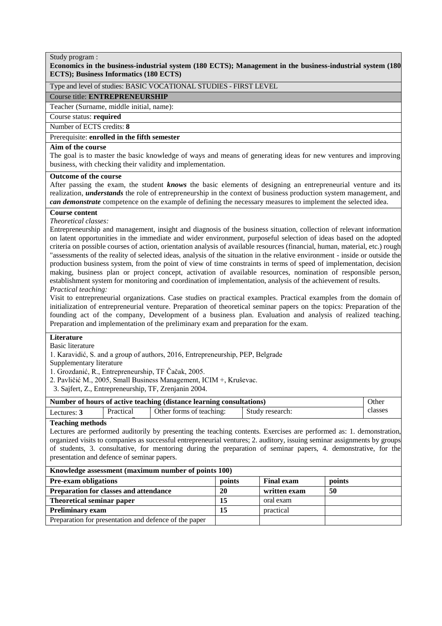# **Economics in the business-industrial system (180 ECTS); Management in the business-industrial system (180 ECTS); Business Informatics (180 ECTS)**

# Type and level of studies: BASIC VOCATIONAL STUDIES - FIRST LEVEL

#### Course title: **ENTREPRENEURSHIP**

Teacher (Surname, middle initial, name):

# Course status: **required**

Number of ECTS credits: **8**

# Prerequisite: **enrolled in the fifth semester**

# **Aim of the course**

The goal is to master the basic knowledge of ways and means of generating ideas for new ventures and improving business, with checking their validity and implementation.

#### **Outcome of the course**

After passing the exam, the student *knows* the basic elements of designing an entrepreneurial venture and its realization, *understands* the role of entrepreneurship in the context of business production system management, and *can demonstrate* competence on the example of defining the necessary measures to implement the selected idea.

#### **Course content**

*Theoretical classes:*

Entrepreneurship and management, insight and diagnosis of the business situation, collection of relevant information on latent opportunities in the immediate and wider environment, purposeful selection of ideas based on the adopted criteria on possible courses of action, orientation analysis of available resources (financial, human, material, etc.) rough "assessments of the reality of selected ideas, analysis of the situation in the relative environment - inside or outside the production business system, from the point of view of time constraints in terms of speed of implementation, decision making, business plan or project concept, activation of available resources, nomination of responsible person, establishment system for monitoring and coordination of implementation, analysis of the achievement of results. *Practical teaching:*

Visit to entrepreneurial organizations. Case studies on practical examples. Practical examples from the domain of initialization of entrepreneurial venture. Preparation of theoretical seminar papers on the topics: Preparation of the founding act of the company, Development of a business plan. Evaluation and analysis of realized teaching. Preparation and implementation of the preliminary exam and preparation for the exam.

#### **Literature**

#### Basic literature

1. Karavidić, S. and a group of authors, 2016, Entrepreneurship, PEP, Belgrade

Supplementary literature

1. Grozdanić, R., Entrepreneurship, TF Čačak, 2005.

- 2. Pavličić M., 2005, Small Business Management, ICIM +, Kruševac.
- 3. Sajfert, Z., Entrepreneurship, TF, Zrenjanin 2004.

| Number of hours of active teaching (distance learning consultations) |           |                          |                 | Other |  |  |
|----------------------------------------------------------------------|-----------|--------------------------|-----------------|-------|--|--|
| Lectures: 3                                                          | Practical | Other forms of teaching: | Study research: |       |  |  |
| Teaching methods                                                     |           |                          |                 |       |  |  |

#### **Teaching methods**

Lectures are performed auditorily by presenting the teaching contents. Exercises are performed as: 1. demonstration, organized visits to companies as successful entrepreneurial ventures; 2. auditory, issuing seminar assignments by groups of students, 3. consultative, for mentoring during the preparation of seminar papers, 4. demonstrative, for the presentation and defence of seminar papers.

| <b>Pre-exam obligations</b>                           | points | <b>Final exam</b> | points |
|-------------------------------------------------------|--------|-------------------|--------|
| <b>Preparation for classes and attendance</b>         | 20     | written exam      | 50     |
| Theoretical seminar paper                             |        | oral exam         |        |
| <b>Preliminary exam</b>                               |        | practical         |        |
| Preparation for presentation and defence of the paper |        |                   |        |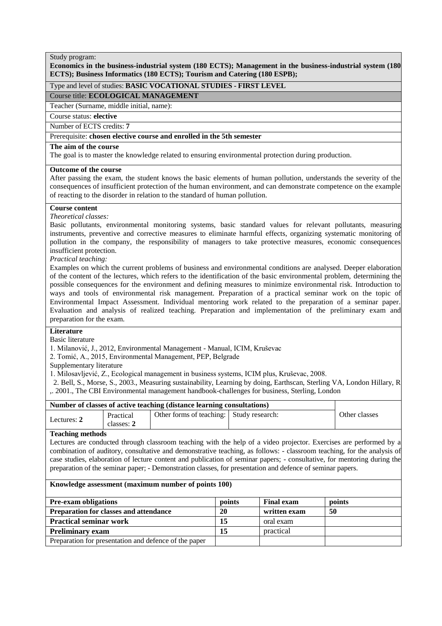# **Economics in the business-industrial system (180 ECTS); Management in the business-industrial system (180 ECTS); Business Informatics (180 ECTS); Tourism and Catering (180 ESPB);**

# Type and level of studies: **BASIC VOCATIONAL STUDIES - FIRST LEVEL**

#### Course title: **ECOLOGICAL MANAGEMENT**

Teacher (Surname, middle initial, name):

# Course status: **elective**

Number of ECTS credits: **7**

# Prerequisite: **chosen elective course and enrolled in the 5th semester**

#### **The aim of the course**

The goal is to master the knowledge related to ensuring environmental protection during production.

#### **Outcome of the course**

After passing the exam, the student knows the basic elements of human pollution, understands the severity of the consequences of insufficient protection of the human environment, and can demonstrate competence on the example of reacting to the disorder in relation to the standard of human pollution.

# **Course content**

#### *Theoretical classes:*

Basic pollutants, environmental monitoring systems, basic standard values for relevant pollutants, measuring instruments, preventive and corrective measures to eliminate harmful effects, organizing systematic monitoring of pollution in the company, the responsibility of managers to take protective measures, economic consequences insufficient protection.

*Practical teaching:*

Examples on which the current problems of business and environmental conditions are analysed. Deeper elaboration of the content of the lectures, which refers to the identification of the basic environmental problem, determining the possible consequences for the environment and defining measures to minimize environmental risk. Introduction to ways and tools of environmental risk management. Preparation of a practical seminar work on the topic of Environmental Impact Assessment. Individual mentoring work related to the preparation of a seminar paper. Evaluation and analysis of realized teaching. Preparation and implementation of the preliminary exam and preparation for the exam.

# **Literature**

Basic literature

1. Milanović, J., 2012, Environmental Management - Manual, ICIM, Kruševac

2. Tomić, A., 2015, Environmental Management, PEP, Belgrade

Supplementary literature

1. Milosavljević, Z., Ecological management in business systems, ICIM plus, Kruševac, 2008.

 2. Bell, S., Morse, S., 2003., Measuring sustainability, Learning by doing, Earthscan, Sterling VA, London Hillary, R ,. 2001., The CBI Environmental management handbook-challenges for business, Sterling, London

| Number of classes of active teaching (distance learning consultations) |                         |                                          |  |               |
|------------------------------------------------------------------------|-------------------------|------------------------------------------|--|---------------|
| Lectures: 2                                                            | Practical<br>classes: 2 | Other forms of teaching: Study research: |  | Other classes |

#### **Teaching methods**

Lectures are conducted through classroom teaching with the help of a video projector. Exercises are performed by a combination of auditory, consultative and demonstrative teaching, as follows: - classroom teaching, for the analysis of case studies, elaboration of lecture content and publication of seminar papers; - consultative, for mentoring during the preparation of the seminar paper; - Demonstration classes, for presentation and defence of seminar papers.

| <b>Pre-exam obligations</b>                           | points | <b>Final exam</b> | points |
|-------------------------------------------------------|--------|-------------------|--------|
| <b>Preparation for classes and attendance</b>         | 20     | written exam      | -50    |
| <b>Practical seminar work</b>                         | 15     | oral exam         |        |
| <b>Preliminary exam</b>                               | 15     | practical         |        |
| Preparation for presentation and defence of the paper |        |                   |        |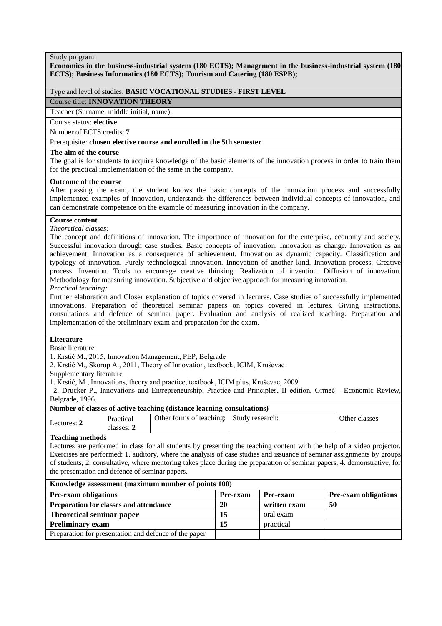# **Economics in the business-industrial system (180 ECTS); Management in the business-industrial system (180 ECTS); Business Informatics (180 ECTS); Tourism and Catering (180 ESPB);**

# Type and level of studies: **BASIC VOCATIONAL STUDIES - FIRST LEVEL**

Course title: **INNOVATION THEORY**

Teacher (Surname, middle initial, name):

Course status: **elective**

Number of ECTS credits: **7**

# Prerequisite: **chosen elective course and enrolled in the 5th semester**

# **The aim of the course**

The goal is for students to acquire knowledge of the basic elements of the innovation process in order to train them for the practical implementation of the same in the company.

# **Outcome of the course**

After passing the exam, the student knows the basic concepts of the innovation process and successfully implemented examples of innovation, understands the differences between individual concepts of innovation, and can demonstrate competence on the example of measuring innovation in the company.

# **Course content**

*Theoretical classes:*

The concept and definitions of innovation. The importance of innovation for the enterprise, economy and society. Successful innovation through case studies. Basic concepts of innovation. Innovation as change. Innovation as an achievement. Innovation as a consequence of achievement. Innovation as dynamic capacity. Classification and typology of innovation. Purely technological innovation. Innovation of another kind. Innovation process. Creative process. Invention. Tools to encourage creative thinking. Realization of invention. Diffusion of innovation. Methodology for measuring innovation. Subjective and objective approach for measuring innovation.

# *Practical teaching:*

Further elaboration and Closer explanation of topics covered in lectures. Case studies of successfully implemented innovations. Preparation of theoretical seminar papers on topics covered in lectures. Giving instructions, consultations and defence of seminar paper. Evaluation and analysis of realized teaching. Preparation and implementation of the preliminary exam and preparation for the exam.

# **Literature**

#### Basic literature

1. Krstić M., 2015, Innovation Management, PEP, Belgrade

2. Krstić M., Skorup A., 2011, Theory of Innovation, textbook, ICIM, Kruševac

Supplementary literature

1. Krstić, M., Innovations, theory and practice, textbook, ICIM plus, Kruševac, 2009.

 2. Drucker P., Innovations and Entrepreneurship, Practice and Principles, II edition, Grmeč - Economic Review, Belgrade, 1996.

# **Number of classes of active teaching (distance learning consultations)**

| Lectures: 2 | Practical<br>classes: 2 | Other forms of teaching: Study research: | Other classes |
|-------------|-------------------------|------------------------------------------|---------------|

#### **Teaching methods**

Lectures are performed in class for all students by presenting the teaching content with the help of a video projector. Exercises are performed: 1. auditory, where the analysis of case studies and issuance of seminar assignments by groups of students, 2. consultative, where mentoring takes place during the preparation of seminar papers, 4. demonstrative, for the presentation and defence of seminar papers.

| Knowledge assessment (maximum number of points 100)   |                 |              |                             |  |  |
|-------------------------------------------------------|-----------------|--------------|-----------------------------|--|--|
| <b>Pre-exam obligations</b>                           | <b>Pre-exam</b> | Pre-exam     | <b>Pre-exam obligations</b> |  |  |
| Preparation for classes and attendance                | 20              | written exam | -50                         |  |  |
| Theoretical seminar paper                             | 15              | oral exam    |                             |  |  |
| <b>Preliminary exam</b>                               | 15              | practical    |                             |  |  |
| Preparation for presentation and defence of the paper |                 |              |                             |  |  |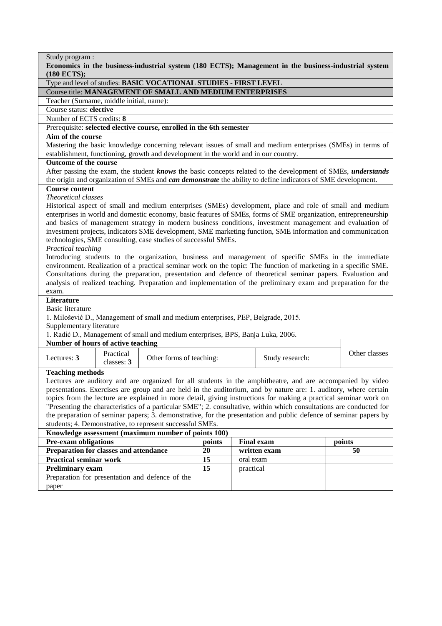| Study program:                                                                                                                                                                                                             |        |           |                   |               |
|----------------------------------------------------------------------------------------------------------------------------------------------------------------------------------------------------------------------------|--------|-----------|-------------------|---------------|
| Economics in the business-industrial system (180 ECTS); Management in the business-industrial system<br>(180 ECTS);                                                                                                        |        |           |                   |               |
| Type and level of studies: BASIC VOCATIONAL STUDIES - FIRST LEVEL                                                                                                                                                          |        |           |                   |               |
| Course title: MANAGEMENT OF SMALL AND MEDIUM ENTERPRISES                                                                                                                                                                   |        |           |                   |               |
| Teacher (Surname, middle initial, name):                                                                                                                                                                                   |        |           |                   |               |
| Course status: elective                                                                                                                                                                                                    |        |           |                   |               |
| Number of ECTS credits: 8                                                                                                                                                                                                  |        |           |                   |               |
| Prerequisite: selected elective course, enrolled in the 6th semester                                                                                                                                                       |        |           |                   |               |
| Aim of the course                                                                                                                                                                                                          |        |           |                   |               |
| Mastering the basic knowledge concerning relevant issues of small and medium enterprises (SMEs) in terms of                                                                                                                |        |           |                   |               |
| establishment, functioning, growth and development in the world and in our country.                                                                                                                                        |        |           |                   |               |
| Outcome of the course                                                                                                                                                                                                      |        |           |                   |               |
| After passing the exam, the student knows the basic concepts related to the development of SMEs, understands                                                                                                               |        |           |                   |               |
| the origin and organization of SMEs and <i>can demonstrate</i> the ability to define indicators of SME development.                                                                                                        |        |           |                   |               |
| <b>Course content</b>                                                                                                                                                                                                      |        |           |                   |               |
| Theoretical classes                                                                                                                                                                                                        |        |           |                   |               |
| Historical aspect of small and medium enterprises (SMEs) development, place and role of small and medium<br>enterprises in world and domestic economy, basic features of SMEs, forms of SME organization, entrepreneurship |        |           |                   |               |
| and basics of management strategy in modern business conditions, investment management and evaluation of                                                                                                                   |        |           |                   |               |
| investment projects, indicators SME development, SME marketing function, SME information and communication                                                                                                                 |        |           |                   |               |
| technologies, SME consulting, case studies of successful SMEs.                                                                                                                                                             |        |           |                   |               |
| Practical teaching                                                                                                                                                                                                         |        |           |                   |               |
| Introducing students to the organization, business and management of specific SMEs in the immediate                                                                                                                        |        |           |                   |               |
| environment. Realization of a practical seminar work on the topic: The function of marketing in a specific SME.                                                                                                            |        |           |                   |               |
| Consultations during the preparation, presentation and defence of theoretical seminar papers. Evaluation and                                                                                                               |        |           |                   |               |
| analysis of realized teaching. Preparation and implementation of the preliminary exam and preparation for the                                                                                                              |        |           |                   |               |
| exam.                                                                                                                                                                                                                      |        |           |                   |               |
| Literature                                                                                                                                                                                                                 |        |           |                   |               |
| <b>Basic literature</b>                                                                                                                                                                                                    |        |           |                   |               |
| 1. Milošević D., Management of small and medium enterprises, PEP, Belgrade, 2015.                                                                                                                                          |        |           |                   |               |
| Supplementary literature                                                                                                                                                                                                   |        |           |                   |               |
| 1. Radić D., Management of small and medium enterprises, BPS, Banja Luka, 2006.                                                                                                                                            |        |           |                   |               |
| Number of hours of active teaching                                                                                                                                                                                         |        |           |                   |               |
| Practical<br>Lectures: 3<br>Other forms of teaching:<br>classes: 3                                                                                                                                                         |        |           | Study research:   | Other classes |
| <b>Teaching methods</b>                                                                                                                                                                                                    |        |           |                   |               |
| Lectures are auditory and are organized for all students in the amphitheatre, and are accompanied by video                                                                                                                 |        |           |                   |               |
| presentations. Exercises are group and are held in the auditorium, and by nature are: 1. auditory, where certain                                                                                                           |        |           |                   |               |
| topics from the lecture are explained in more detail, giving instructions for making a practical seminar work on                                                                                                           |        |           |                   |               |
| "Presenting the characteristics of a particular SME"; 2. consultative, within which consultations are conducted for                                                                                                        |        |           |                   |               |
| the preparation of seminar papers; 3. demonstrative, for the presentation and public defence of seminar papers by                                                                                                          |        |           |                   |               |
| students; 4. Demonstrative, to represent successful SMEs.                                                                                                                                                                  |        |           |                   |               |
| Knowledge assessment (maximum number of points 100)                                                                                                                                                                        |        |           |                   |               |
| Pre-exam obligations                                                                                                                                                                                                       | points |           | <b>Final exam</b> | points        |
| Preparation for classes and attendance<br>20<br>written exam                                                                                                                                                               |        |           | 50                |               |
|                                                                                                                                                                                                                            |        |           |                   |               |
| <b>Practical seminar work</b>                                                                                                                                                                                              | 15     | oral exam |                   |               |
| <b>Preliminary exam</b>                                                                                                                                                                                                    | 15     | practical |                   |               |
| Preparation for presentation and defence of the                                                                                                                                                                            |        |           |                   |               |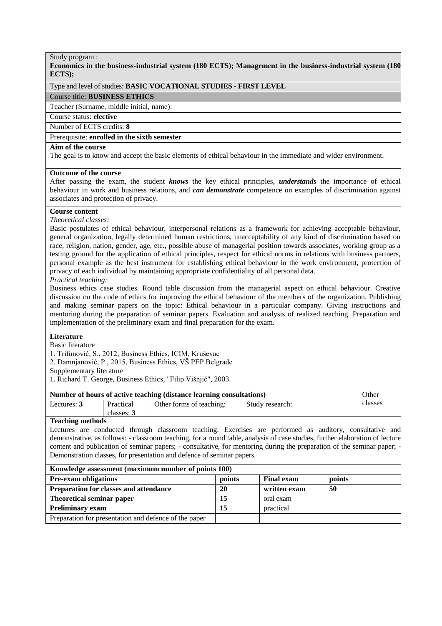**Economics in the business-industrial system (180 ECTS); Management in the business-industrial system (180 ECTS);**

# Type and level of studies: **BASIC VOCATIONAL STUDIES - FIRST LEVEL**

# Course title: **BUSINESS ETHICS**

Teacher (Surname, middle initial, name):

# Course status: **elective**

# Number of ECTS credits: **8**

# Prerequisite: **enrolled in the sixth semester**

#### **Aim of the course**

The goal is to know and accept the basic elements of ethical behaviour in the immediate and wider environment.

# **Outcome of the course**

After passing the exam, the student *knows* the key ethical principles, *understands* the importance of ethical behaviour in work and business relations, and *can demonstrate* competence on examples of discrimination against associates and protection of privacy.

# **Course content**

*Theoretical classes:*

Basic postulates of ethical behaviour, interpersonal relations as a framework for achieving acceptable behaviour, general organization, legally determined human restrictions, unacceptability of any kind of discrimination based on race, religion, nation, gender, age, etc., possible abuse of managerial position towards associates, working group as a testing ground for the application of ethical principles, respect for ethical norms in relations with business partners, personal example as the best instrument for establishing ethical behaviour in the work environment, protection of privacy of each individual by maintaining appropriate confidentiality of all personal data. *Practical teaching:*

Business ethics case studies. Round table discussion from the managerial aspect on ethical behaviour. Creative discussion on the code of ethics for improving the ethical behaviour of the members of the organization. Publishing and making seminar papers on the topic: Ethical behaviour in a particular company. Giving instructions and mentoring during the preparation of seminar papers. Evaluation and analysis of realized teaching. Preparation and implementation of the preliminary exam and final preparation for the exam*.*

# **Literature**

Basic literature

1. Trifunović, S., 2012, Business Ethics, ICIM, Kruševac

2. Damnjanović, P., 2015, Business Ethics, VŠ PEP Belgrade

Supplementary literature

1. Richard T. George, Business Ethics, "Filip Višnjić", 2003.

| Number of hours of active teaching (distance learning consultations) |            |                          |                 | Other   |
|----------------------------------------------------------------------|------------|--------------------------|-----------------|---------|
| Lectures: 3                                                          | Practical  | Other forms of teaching: | Study research: | classes |
|                                                                      | classes: 3 |                          |                 |         |
| $\mathbf{m}$ is a set                                                |            |                          |                 |         |

# **Teaching methods**

Lectures are conducted through classroom teaching. Exercises are performed as auditory, consultative and demonstrative, as follows: - classroom teaching, for a round table, analysis of case studies, further elaboration of lecture content and publication of seminar papers; - consultative, for mentoring during the preparation of the seminar paper; Demonstration classes, for presentation and defence of seminar papers.

| Knowledge assessment (maximum number of points 100) |  |  |  |  |
|-----------------------------------------------------|--|--|--|--|
|-----------------------------------------------------|--|--|--|--|

| THIS were appropriately (institution number of points foo) |        |                   |        |  |
|------------------------------------------------------------|--------|-------------------|--------|--|
| <b>Pre-exam obligations</b>                                | points | <b>Final exam</b> | points |  |
| <b>Preparation for classes and attendance</b>              | 20     | written exam      | 50     |  |
| Theoretical seminar paper                                  |        | oral exam         |        |  |
| <b>Preliminary exam</b>                                    | 15     | practical         |        |  |
| Preparation for presentation and defence of the paper      |        |                   |        |  |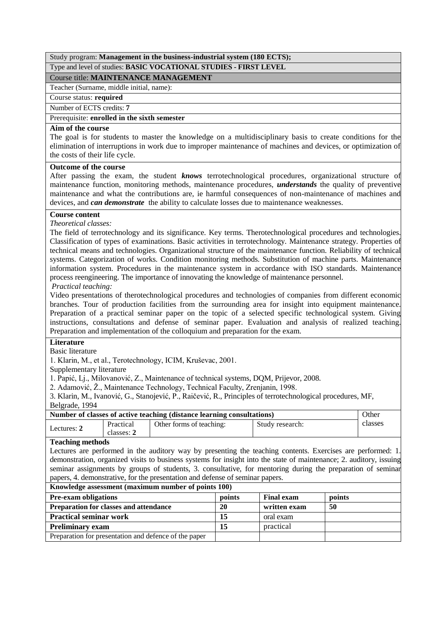# Study program: **Management in the business-industrial system (180 ECTS);** Type and level of studies: **BASIC VOCATIONAL STUDIES - FIRST LEVEL**

# Course title: **MAINTENANCE MANAGEMENT**

Teacher (Surname, middle initial, name):

Course status: **required**

Number of ECTS credits: **7**

# Prerequisite: **enrolled in the sixth semester**

# **Aim of the course**

The goal is for students to master the knowledge on a multidisciplinary basis to create conditions for the elimination of interruptions in work due to improper maintenance of machines and devices, or optimization of the costs of their life cycle.

# **Outcome of the course**

After passing the exam, the student *knows* terrotechnological procedures, organizational structure of maintenance function, monitoring methods, maintenance procedures, *understands* the quality of preventive maintenance and what the contributions are, ie harmful consequences of non-maintenance of machines and devices, and *can demonstrate* the ability to calculate losses due to maintenance weaknesses.

# **Course content**

*Theoretical classes:*

The field of terrotechnology and its significance. Key terms. Therotechnological procedures and technologies. Classification of types of examinations. Basic activities in terrotechnology. Maintenance strategy. Properties of technical means and technologies. Organizational structure of the maintenance function. Reliability of technical systems. Categorization of works. Condition monitoring methods. Substitution of machine parts. Maintenance information system. Procedures in the maintenance system in accordance with ISO standards. Maintenance process reengineering. The importance of innovating the knowledge of maintenance personnel.

*Practical teaching:*

Video presentations of therotechnological procedures and technologies of companies from different economic branches. Tour of production facilities from the surrounding area for insight into equipment maintenance. Preparation of a practical seminar paper on the topic of a selected specific technological system. Giving instructions, consultations and defense of seminar paper. Evaluation and analysis of realized teaching. Preparation and implementation of the colloquium and preparation for the exam.

# **Literature**

Basic literature

1. Klarin, M., et al., Terotechnology, ICIM, Kruševac, 2001.

Supplementary literature

1. Papić, Lj., Milovanović, Z., Maintenance of technical systems, DQM, Prijevor, 2008.

2. Adamović, Ž., Maintenance Technology, Technical Faculty, Zrenjanin, 1998.

3. Klarin, M., Ivanović, G., Stanojević, P., Raičević, R., Principles of terrotechnological procedures, MF, Belgrade, 1994

| Number of classes of active teaching (distance learning consultations) |            |                          |                 | Other   |
|------------------------------------------------------------------------|------------|--------------------------|-----------------|---------|
| Lectures: 2                                                            | Practical  | Other forms of teaching: | Study research: | classes |
|                                                                        | classes: 2 |                          |                 |         |

# **Teaching methods**

Lectures are performed in the auditory way by presenting the teaching contents. Exercises are performed: 1. demonstration, organized visits to business systems for insight into the state of maintenance; 2. auditory, issuing seminar assignments by groups of students, 3. consultative, for mentoring during the preparation of seminar papers, 4. demonstrative, for the presentation and defense of seminar papers.

| Knowledge assessment (maximum number of points 100)   |        |                   |        |  |
|-------------------------------------------------------|--------|-------------------|--------|--|
| <b>Pre-exam obligations</b>                           | points | <b>Final exam</b> | points |  |
| <b>Preparation for classes and attendance</b>         | 20     | written exam      | 50     |  |
| <b>Practical seminar work</b>                         | 15     | oral exam         |        |  |
| <b>Preliminary exam</b>                               | 15     | practical         |        |  |
| Preparation for presentation and defence of the paper |        |                   |        |  |